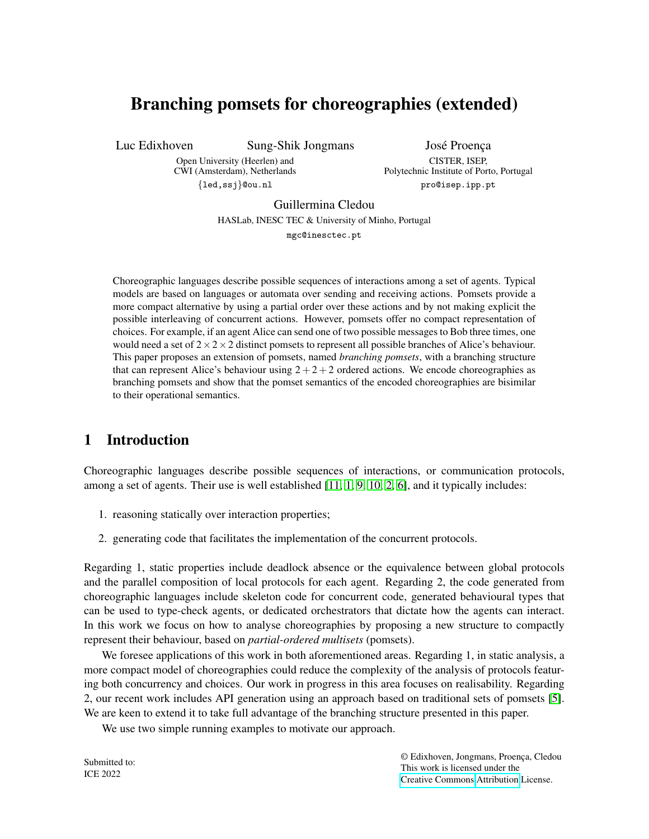# Branching pomsets for choreographies (extended)

Luc Edixhoven Sung-Shik Jongmans

José Proença

Open University (Heerlen) and CWI (Amsterdam), Netherlands {led,ssj}@ou.nl

CISTER, ISEP, Polytechnic Institute of Porto, Portugal pro@isep.ipp.pt

Guillermina Cledou

HASLab, INESC TEC & University of Minho, Portugal

mgc@inesctec.pt

Choreographic languages describe possible sequences of interactions among a set of agents. Typical models are based on languages or automata over sending and receiving actions. Pomsets provide a more compact alternative by using a partial order over these actions and by not making explicit the possible interleaving of concurrent actions. However, pomsets offer no compact representation of choices. For example, if an agent Alice can send one of two possible messages to Bob three times, one would need a set of  $2 \times 2 \times 2$  distinct pomsets to represent all possible branches of Alice's behaviour. This paper proposes an extension of pomsets, named *branching pomsets*, with a branching structure that can represent Alice's behaviour using  $2+2+2$  ordered actions. We encode choreographies as branching pomsets and show that the pomset semantics of the encoded choreographies are bisimilar to their operational semantics.

# 1 Introduction

Choreographic languages describe possible sequences of interactions, or communication protocols, among a set of agents. Their use is well established [\[11,](#page-15-0) [1,](#page-14-0) [9,](#page-15-1) [10,](#page-15-2) [2,](#page-14-1) [6\]](#page-15-3), and it typically includes:

- 1. reasoning statically over interaction properties;
- 2. generating code that facilitates the implementation of the concurrent protocols.

Regarding 1, static properties include deadlock absence or the equivalence between global protocols and the parallel composition of local protocols for each agent. Regarding 2, the code generated from choreographic languages include skeleton code for concurrent code, generated behavioural types that can be used to type-check agents, or dedicated orchestrators that dictate how the agents can interact. In this work we focus on how to analyse choreographies by proposing a new structure to compactly represent their behaviour, based on *partial-ordered multisets* (pomsets).

We foresee applications of this work in both aforementioned areas. Regarding 1, in static analysis, a more compact model of choreographies could reduce the complexity of the analysis of protocols featuring both concurrency and choices. Our work in progress in this area focuses on realisability. Regarding 2, our recent work includes API generation using an approach based on traditional sets of pomsets [\[5\]](#page-15-4). We are keen to extend it to take full advantage of the branching structure presented in this paper.

We use two simple running examples to motivate our approach.

Submitted to: ICE 2022

© Edixhoven, Jongmans, Proença, Cledou This work is licensed under the [Creative Commons](https://creativecommons.org) [Attribution](https://creativecommons.org/licenses/by/4.0/) License.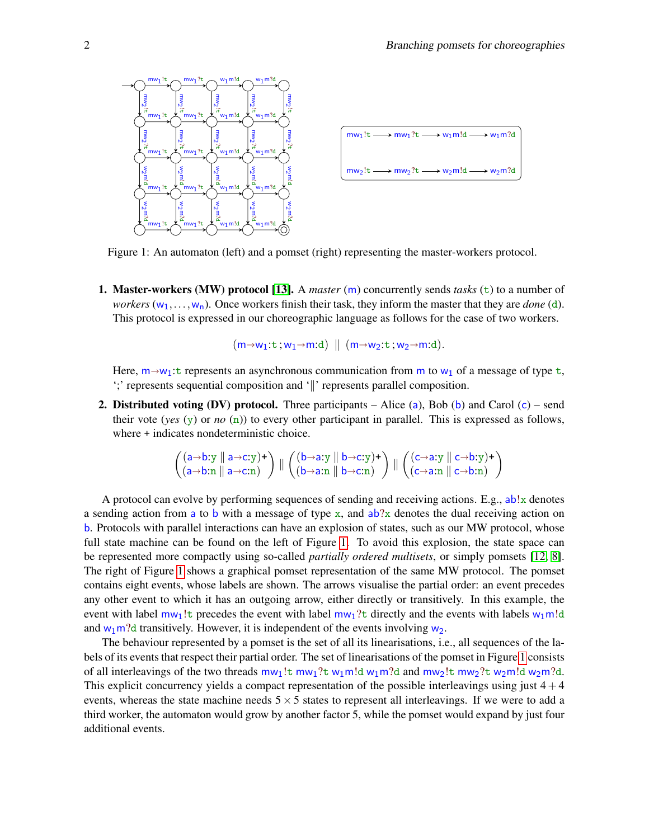<span id="page-1-0"></span>

| $m w_1! t \longrightarrow m w_1? t \longrightarrow w_1 m! d \longrightarrow w_1 m? d$ |
|---------------------------------------------------------------------------------------|
| $mw_2!t \longrightarrow mw_2?t \longrightarrow w_2m!d \longrightarrow w_2m?d$         |
|                                                                                       |

Figure 1: An automaton (left) and a pomset (right) representing the master-workers protocol.

**1. Master-workers (MW) protocol [\[13\]](#page-15-5).** A *master* (m) concurrently sends *tasks* ( $\pm$ ) to a number of *workers*  $(w_1, \ldots, w_n)$ . Once workers finish their task, they inform the master that they are *done* (d). This protocol is expressed in our choreographic language as follows for the case of two workers.

 $(m \rightarrow w_1:t$ ;  $w_1 \rightarrow m:d)$   $\parallel$   $(m \rightarrow w_2:t$ ;  $w_2 \rightarrow m:d)$ .

Here,  $m \rightarrow w_1$ : t represents an asynchronous communication from m to  $w_1$  of a message of type t, ';' represents sequential composition and '∥' represents parallel composition.

2. Distributed voting (DV) protocol. Three participants – Alice (a), Bob (b) and Carol (c) – send their vote (*yes* (y) or *no* (n)) to every other participant in parallel. This is expressed as follows, where  $+$  indicates nondeterministic choice.

$$
\left(\begin{array}{c} (a\rightarrow b:y\parallel a\rightarrow c:y)+ \\ (a\rightarrow b:n\parallel a\rightarrow c:n) \end{array}\right)\parallel \left(\begin{array}{c} (b\rightarrow a:y\parallel b\rightarrow c:y)+ \\ (b\rightarrow a:n\parallel b\rightarrow c:n) \end{array}\right)\parallel \left(\begin{array}{c} (c\rightarrow a:y\parallel c\rightarrow b:y)+ \\ (c\rightarrow a:n\parallel c\rightarrow b:n) \end{array}\right)
$$

A protocol can evolve by performing sequences of sending and receiving actions. E.g.,  $ab!x$  denotes a sending action from a to b with a message of type x, and  $ab$ ?x denotes the dual receiving action on b. Protocols with parallel interactions can have an explosion of states, such as our MW protocol, whose full state machine can be found on the left of Figure [1.](#page-1-0) To avoid this explosion, the state space can be represented more compactly using so-called *partially ordered multisets*, or simply pomsets [\[12,](#page-15-6) [8\]](#page-15-7). The right of Figure [1](#page-1-0) shows a graphical pomset representation of the same MW protocol. The pomset contains eight events, whose labels are shown. The arrows visualise the partial order: an event precedes any other event to which it has an outgoing arrow, either directly or transitively. In this example, the event with label  $m_{1}!$ : precedes the event with label  $m_{1}$ ? directly and the events with labels  $w_{1}$ m!d and  $w_1m$ ?d transitively. However, it is independent of the events involving  $w_2$ .

The behaviour represented by a pomset is the set of all its linearisations, i.e., all sequences of the labels of its events that respect their partial order. The set of linearisations of the pomset in Figure [1](#page-1-0) consists of all interleavings of the two threads  $m_{1}!$ t mw<sub>1</sub>?t w<sub>1</sub>m!d w<sub>1</sub>m?d and mw<sub>2</sub>!t mw<sub>2</sub>?t w<sub>2</sub>m!d w<sub>2</sub>m?d. This explicit concurrency yields a compact representation of the possible interleavings using just  $4+4$ events, whereas the state machine needs  $5 \times 5$  states to represent all interleavings. If we were to add a third worker, the automaton would grow by another factor 5, while the pomset would expand by just four additional events.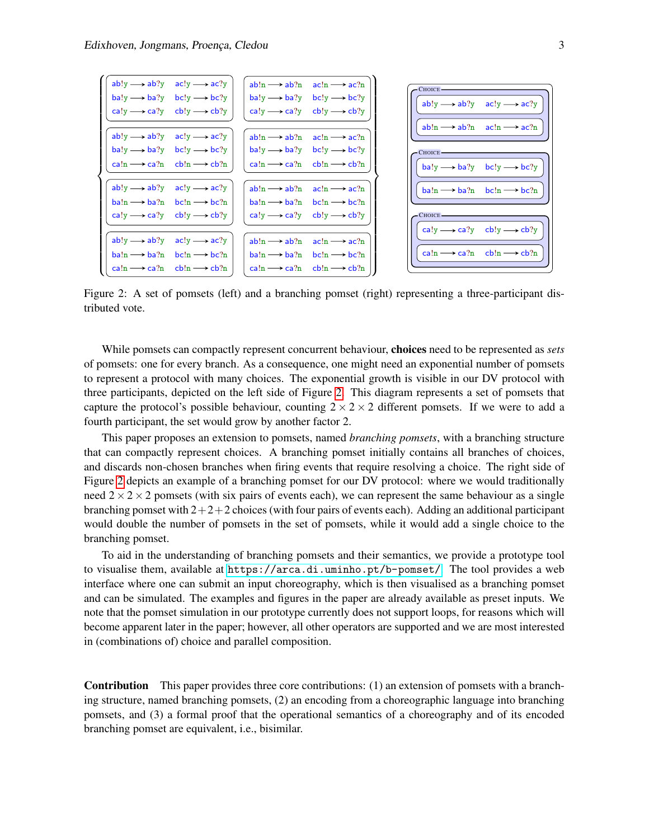<span id="page-2-0"></span>

Figure 2: A set of pomsets (left) and a branching pomset (right) representing a three-participant distributed vote.

While pomsets can compactly represent concurrent behaviour, choices need to be represented as *sets* of pomsets: one for every branch. As a consequence, one might need an exponential number of pomsets to represent a protocol with many choices. The exponential growth is visible in our DV protocol with three participants, depicted on the left side of Figure [2.](#page-2-0) This diagram represents a set of pomsets that capture the protocol's possible behaviour, counting  $2 \times 2 \times 2$  different pomsets. If we were to add a fourth participant, the set would grow by another factor 2.

This paper proposes an extension to pomsets, named *branching pomsets*, with a branching structure that can compactly represent choices. A branching pomset initially contains all branches of choices, and discards non-chosen branches when firing events that require resolving a choice. The right side of Figure [2](#page-2-0) depicts an example of a branching pomset for our DV protocol: where we would traditionally need  $2 \times 2 \times 2$  pomsets (with six pairs of events each), we can represent the same behaviour as a single branching pomset with  $2+2+2$  choices (with four pairs of events each). Adding an additional participant would double the number of pomsets in the set of pomsets, while it would add a single choice to the branching pomset.

To aid in the understanding of branching pomsets and their semantics, we provide a prototype tool to visualise them, available at <https://arca.di.uminho.pt/b-pomset/>. The tool provides a web interface where one can submit an input choreography, which is then visualised as a branching pomset and can be simulated. The examples and figures in the paper are already available as preset inputs. We note that the pomset simulation in our prototype currently does not support loops, for reasons which will become apparent later in the paper; however, all other operators are supported and we are most interested in (combinations of) choice and parallel composition.

Contribution This paper provides three core contributions: (1) an extension of pomsets with a branching structure, named branching pomsets, (2) an encoding from a choreographic language into branching pomsets, and (3) a formal proof that the operational semantics of a choreography and of its encoded branching pomset are equivalent, i.e., bisimilar.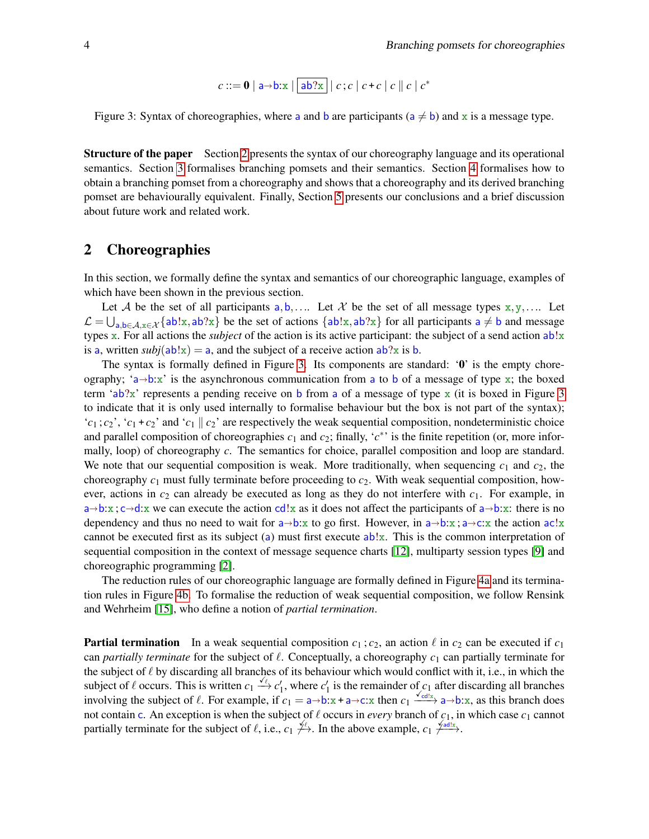$$
c ::= \mathbf{0} \mid \mathbf{a} \rightarrow \mathbf{b} \mathbf{x} \mid \boxed{\mathbf{ab} \mathbf{2x}} \mid c ; c \mid c + c \mid c \parallel c \mid c^*
$$

<span id="page-3-1"></span>Figure 3: Syntax of choreographies, where a and b are participants ( $a \neq b$ ) and x is a message type.

Structure of the paper Section [2](#page-3-0) presents the syntax of our choreography language and its operational semantics. Section [3](#page-5-0) formalises branching pomsets and their semantics. Section [4](#page-9-0) formalises how to obtain a branching pomset from a choreography and shows that a choreography and its derived branching pomset are behaviourally equivalent. Finally, Section [5](#page-12-0) presents our conclusions and a brief discussion about future work and related work.

#### <span id="page-3-0"></span>2 Choreographies

In this section, we formally define the syntax and semantics of our choreographic language, examples of which have been shown in the previous section.

Let A be the set of all participants  $a, b, \ldots$  Let X be the set of all message types  $x, y, \ldots$  Let  $\mathcal{L} = \bigcup_{a,b \in \mathcal{A}, x \in \mathcal{X}} \{ab!x, ab?x\}$  be the set of actions  $\{ab!x, ab?x\}$  for all participants  $a \neq b$  and message types x. For all actions the *subject* of the action is its active participant: the subject of a send action  $ab!x$ is a, written  $\frac{subj(\text{ab}!x)}{=}$  a, and the subject of a receive action  $\frac{ab?x}{}$  is b.

The syntax is formally defined in Figure [3.](#page-3-1) Its components are standard: '0' is the empty choreography; 'a $\rightarrow$ b:x' is the asynchronous communication from a to b of a message of type x; the boxed term 'ab?x' represents a pending receive on b from a of a message of type  $\bf{x}$  (it is boxed in Figure [3](#page-3-1) to indicate that it is only used internally to formalise behaviour but the box is not part of the syntax); ' $c_1$ ;  $c_2$ ', ' $c_1 + c_2$ ' and ' $c_1 \parallel c_2$ ' are respectively the weak sequential composition, nondeterministic choice and parallel composition of choreographies  $c_1$  and  $c_2$ ; finally,  $c^*$  is the finite repetition (or, more informally, loop) of choreography *c*. The semantics for choice, parallel composition and loop are standard. We note that our sequential composition is weak. More traditionally, when sequencing  $c_1$  and  $c_2$ , the choreography *c*<sup>1</sup> must fully terminate before proceeding to *c*2. With weak sequential composition, however, actions in  $c_2$  can already be executed as long as they do not interfere with  $c_1$ . For example, in  $a\rightarrow b:x$ ;  $c\rightarrow d:x$  we can execute the action cd!x as it does not affect the participants of  $a\rightarrow b:x$ : there is no dependency and thus no need to wait for  $a \rightarrow b:x$  to go first. However, in  $a \rightarrow b:x$ ;  $a \rightarrow c:x$  the action  $ac!x$ cannot be executed first as its subject (a) must first execute  $ab!x$ . This is the common interpretation of sequential composition in the context of message sequence charts [\[12\]](#page-15-6), multiparty session types [\[9\]](#page-15-1) and choreographic programming [\[2\]](#page-14-1).

The reduction rules of our choreographic language are formally defined in Figure [4a](#page-4-0) and its termination rules in Figure [4b.](#page-4-0) To formalise the reduction of weak sequential composition, we follow Rensink and Wehrheim [\[15\]](#page-15-8), who define a notion of *partial termination*.

**Partial termination** In a weak sequential composition  $c_1$ ;  $c_2$ , an action  $\ell$  in  $c_2$  can be executed if  $c_1$ can *partially terminate* for the subject of ℓ. Conceptually, a choreography *c*<sup>1</sup> can partially terminate for the subject of  $\ell$  by discarding all branches of its behaviour which would conflict with it, i.e., in which the subject of  $\ell$  occurs. This is written  $c_1 \stackrel{\ell}{\rightarrow} c'_1$ , where  $c'_1$  is the remainder of  $c_1$  after discarding all branches involving the subject of  $\ell$ . For example, if  $c_1 = a \rightarrow b: x + a \rightarrow c: x$  then  $c_1 \xrightarrow{*d*dx \rightarrow c} a \rightarrow b: x$ , as this branch does not contain c. An exception is when the subject of  $\ell$  occurs in *every* branch of  $c_1$ , in which case  $c_1$  cannot partially terminate for the subject of  $\ell$ , i.e.,  $c_1 \neq 0$ . In the above example,  $c_1 \neq 0$ .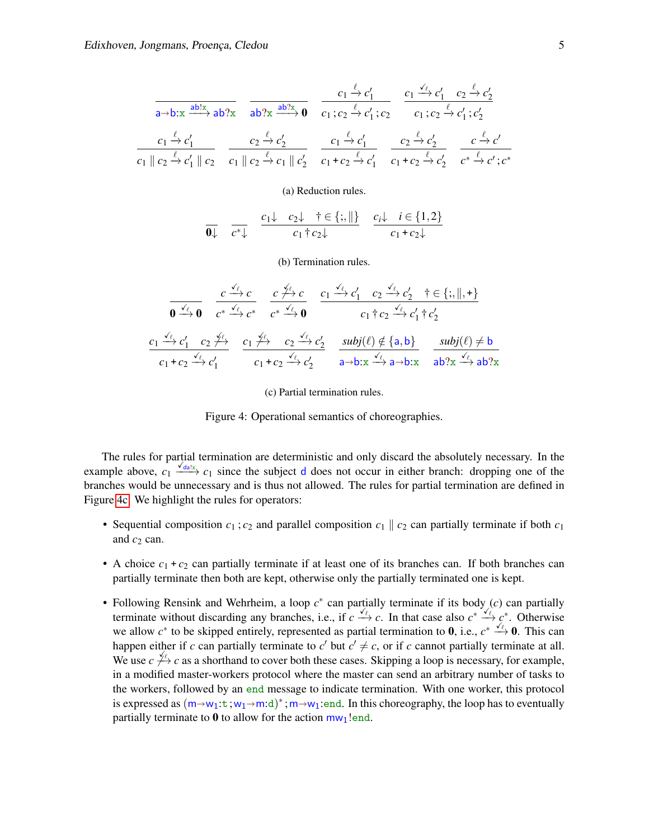<span id="page-4-0"></span>
$$
\frac{c_1 \xrightarrow{\ell} c'_1}{a \rightarrow b: x \xrightarrow{\text{ab}!x} \text{ab} ?x} \quad \frac{c_1 \xrightarrow{\ell} c'_1}{a b ?x \xrightarrow{\text{ab}!x} 0} \quad \frac{c_1 \xrightarrow{\ell} c'_1}{c_1; c_2 \xrightarrow{\ell} c'_1; c_2} \quad \frac{c_1 \xrightarrow{\text{ab}!c'_1} c_2 \xrightarrow{\text{ab}!c'_2}{c_1; c_2 \xrightarrow{\text{ab}!c'_1; c'_2}}
$$
\n
$$
\frac{c_1 \xrightarrow{\ell} c'_1}{c_1 || c_2 \xrightarrow{\text{ab}!c_2} c_1 || c_2 \xrightarrow{\text{ab}!c_2} c_1 || c'_2} \quad \frac{c_1 \xrightarrow{\text{ab}!c'_1} c'_1}{c_1 + c_2 \xrightarrow{\text{ab}!c'_1} c_1 + c_2 \xrightarrow{\text{ab}!c'_2} c'_2} \quad \frac{c_2 \xrightarrow{\text{ab}!c'_2}{c_1 + c_2 \xrightarrow{\text{ab}!c'_2} c'_2} \quad \frac{c_2 \xrightarrow{\text{ab}!c'_2}{c_2 + c'_2}}{c_2 + c'_1; c'_2}
$$

(a) Reduction rules.

$$
\overline{0\downarrow} \quad \overline{c^*\downarrow} \quad \frac{c_1\downarrow \quad c_2\downarrow \quad \uparrow \in \{;,\parallel\}}{c_1\uparrow c_2\downarrow} \quad \frac{c_i\downarrow \quad i\in \{1,2\}}{c_1+c_2\downarrow}
$$

(b) Termination rules.

$$
\frac{c \xrightarrow{\checkmark}_{\ell} c}{\mathbf{0} \xrightarrow{\checkmark}_{\ell} \mathbf{0}} \frac{c \xrightarrow{\checkmark}_{\ell} c}{c^* \xrightarrow{\checkmark}_{\ell} c^*} \frac{c \xrightarrow{\checkmark}_{\ell} c}{c^* \xrightarrow{\checkmark}_{\ell} \mathbf{0}} \frac{c_1 \xrightarrow{\checkmark}_{\ell} c'_1}{c_1 + c_2 \xrightarrow{\checkmark}_{\ell} c'_1} + \frac{c_2 \xrightarrow{\checkmark}_{\ell} c'_2}{c_1 + c_2 \xrightarrow{\checkmark}_{\ell} c'_1}
$$
\n
$$
\frac{c_1 \xrightarrow{\checkmark}_{\ell} c'_1}{c_1 + c_2 \xrightarrow{\checkmark}_{\ell} c'_1} \frac{c_1 \xrightarrow{\checkmark}_{\ell} c_2}{c_1 + c_2 \xrightarrow{\checkmark}_{\ell} c'_2} \frac{c_2 \xrightarrow{\checkmark}_{\ell} c'_2}{\mathbf{a} \rightarrow \mathbf{b}: \mathbf{x}} \frac{\text{subj}(\ell) \notin \{a, b\}}{\mathbf{a} \rightarrow \mathbf{b}: \mathbf{x}} \frac{\text{subj}(\ell) \neq \mathbf{b}}{\mathbf{a} \mathbf{b}: \mathbf{x}} \frac{\text{subj}(\ell) \neq \mathbf{b}}{\mathbf{a} \mathbf{b}: \mathbf{x}} \frac{\text{obj}(\ell) \neq \mathbf{b}}{\mathbf{b}: \mathbf{x}} \frac{\text{obj}(\ell) \neq \mathbf{b}}{\mathbf{b}: \mathbf{x}} \frac{\text{obj}(\ell) \neq \mathbf{b}}{\mathbf{b}: \mathbf{x}} \frac{\text{obj}(\ell) \neq \mathbf{b}}{\mathbf{b}: \mathbf{x}} \frac{\text{obj}(\ell) \neq \mathbf{b}}{\mathbf{b}: \mathbf{x}} \frac{\text{obj}(\ell) \neq \mathbf{b}: \mathbf{x}}{\mathbf{b}: \mathbf{x}} \frac{\text{obj}(\ell) \neq \mathbf{b}: \mathbf{x}}{\mathbf{b}: \mathbf{x}} \frac{\text{obj}(\ell) \neq \mathbf{b}: \mathbf{x}}{\mathbf{b}: \mathbf{x}} \frac{\text{obj}(\ell) \neq \mathbf{b}: \mathbf{x}}{\mathbf{b}: \mathbf{x}} \frac{\text{obj}(\ell) \neq \mathbf{b}: \mathbf{x}}{\mathbf{b}: \mathbf{x}} \frac{\text{obj}
$$

(c) Partial termination rules.

Figure 4: Operational semantics of choreographies.

The rules for partial termination are deterministic and only discard the absolutely necessary. In the example above,  $c_1 \xrightarrow{\sqrt{\text{dalx}}} c_1$  since the subject d does not occur in either branch: dropping one of the branches would be unnecessary and is thus not allowed. The rules for partial termination are defined in Figure [4c.](#page-4-0) We highlight the rules for operators:

- Sequential composition  $c_1$ ;  $c_2$  and parallel composition  $c_1 \parallel c_2$  can partially terminate if both  $c_1$ and  $c_2$  can.
- A choice  $c_1 + c_2$  can partially terminate if at least one of its branches can. If both branches can partially terminate then both are kept, otherwise only the partially terminated one is kept.
- Following Rensink and Wehrheim, a loop *c* ∗ can partially terminate if its body (*c*) can partially terminate without discarding any branches, i.e., if  $c \xrightarrow{f} c$ . In that case also  $c^* \xrightarrow{f} c^*$ . Otherwise we allow  $c^*$  to be skipped entirely, represented as partial termination to 0, i.e.,  $c^* \xrightarrow{\sqrt{\ell}} 0$ . This can happen either if *c* can partially terminate to  $c'$  but  $c' \neq c$ , or if *c* cannot partially terminate at all. We use  $c \neq^{\ell_+} c$  as a shorthand to cover both these cases. Skipping a loop is necessary, for example, in a modified master-workers protocol where the master can send an arbitrary number of tasks to the workers, followed by an end message to indicate termination. With one worker, this protocol is expressed as  $(m \rightarrow w_1:t;w_1 \rightarrow m:d)^*$ ;  $m \rightarrow w_1$ :end. In this choreography, the loop has to eventually partially terminate to  $\theta$  to allow for the action  $m_{\nu_1}$ ! end.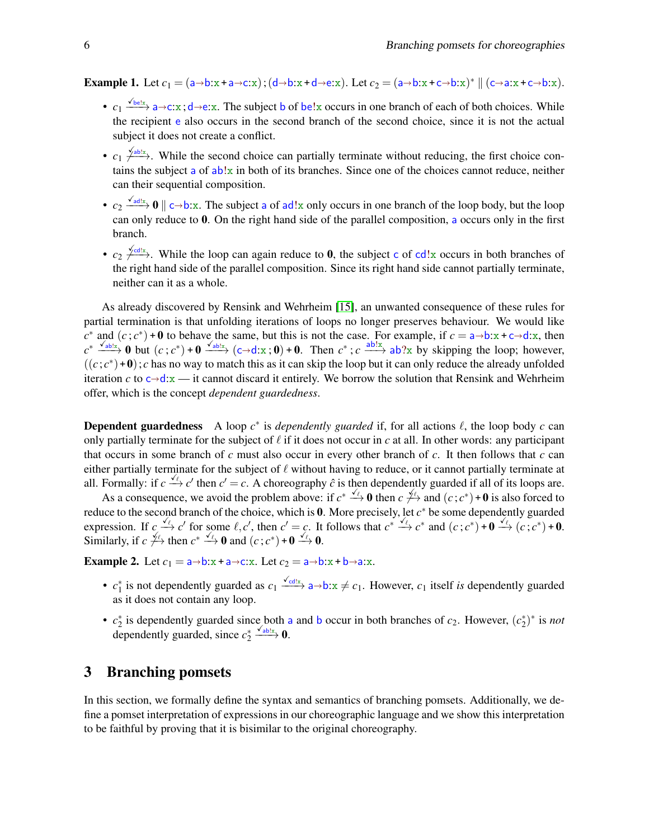Example 1. Let  $c_1 = (a \rightarrow b:x + a \rightarrow c:x); (d \rightarrow b:x + d \rightarrow e:x)$ . Let  $c_2 = (a \rightarrow b:x + c \rightarrow b:x)^* \parallel (c \rightarrow a:x + c \rightarrow b:x)$ .

- $c_1 \xrightarrow{\sqrt{\text{bel}_x}} a \rightarrow c:x; d \rightarrow e:x$ . The subject b of be!x occurs in one branch of each of both choices. While the recipient e also occurs in the second branch of the second choice, since it is not the actual subject it does not create a conflict.
- $c_1 \frac{\sqrt{ab!x}}{\sqrt{ab!x}}$ . While the second choice can partially terminate without reducing, the first choice contains the subject a of ab!x in both of its branches. Since one of the choices cannot reduce, neither can their sequential composition.
- $c_2 \xrightarrow{\sqrt{ad!x}} 0 \parallel c \rightarrow b:x$ . The subject a of ad!x only occurs in one branch of the loop body, but the loop can only reduce to 0. On the right hand side of the parallel composition, a occurs only in the first branch.
- $c_2 \frac{\sqrt{cd!}x}{\sqrt{cd!}}$ . While the loop can again reduce to 0, the subject c of cd!x occurs in both branches of the right hand side of the parallel composition. Since its right hand side cannot partially terminate, neither can it as a whole.

As already discovered by Rensink and Wehrheim [\[15\]](#page-15-8), an unwanted consequence of these rules for partial termination is that unfolding iterations of loops no longer preserves behaviour. We would like  $c^*$  and  $(c; c^*)$  + 0 to behave the same, but this is not the case. For example, if  $c = a \rightarrow b : x + c \rightarrow d : x$ , then  $c^* \xrightarrow{Q_{ab}} 0$  but  $(c; c^*)$  + 0  $\xrightarrow{Q_{ab}} (c \rightarrow d : x; 0)$  + 0. Then  $c^*$ ;  $c \xrightarrow{ab \ x} ab?x$  by skipping the loop; howev  $((c; c^*) + 0)$ ; *c* has no way to match this as it can skip the loop but it can only reduce the already unfolded iteration *c* to  $c \rightarrow d: x \rightarrow i$  cannot discard it entirely. We borrow the solution that Rensink and Wehrheim offer, which is the concept *dependent guardedness*.

**Dependent guardedness** A loop  $c^*$  is *dependently guarded* if, for all actions  $\ell$ , the loop body  $c$  can only partially terminate for the subject of  $\ell$  if it does not occur in c at all. In other words: any participant that occurs in some branch of *c* must also occur in every other branch of *c*. It then follows that *c* can either partially terminate for the subject of  $\ell$  without having to reduce, or it cannot partially terminate at all. Formally: if  $c \xrightarrow{\sqrt{\ell}} c'$  then  $c' = c$ . A choreography  $\hat{c}$  is then dependently guarded if all of its loops are.

As a consequence, we avoid the problem above: if  $c^* \xrightarrow{f} 0$  then  $c \xrightarrow{f+}$  and  $(c; c^*) + 0$  is also forced to reduce to the second branch of the choice, which is 0. More precisely, let *c* <sup>∗</sup> be some dependently guarded expression. If  $c \xrightarrow{\sqrt{\ell}} c'$  for some  $\ell, c'$ , then  $c' = c$ . It follows that  $c^* \xrightarrow{\sqrt{\ell}} c^*$  and  $(c; c^*) + 0 \xrightarrow{\sqrt{\ell}} (c; c^*) + 0$ . Similarly, if  $c \not\stackrel{\checkmark}{\longleftrightarrow}$  then  $c^* \xrightarrow{\checkmark} 0$  and  $(c; c^*) + 0 \xrightarrow{\checkmark} 0$ .

**Example 2.** Let  $c_1 = a \rightarrow b: x + a \rightarrow c: x$ . Let  $c_2 = a \rightarrow b: x + b \rightarrow a: x$ .

- $c_1^*$  is not dependently guarded as  $c_1 \xrightarrow{\sqrt{c}d!x} a \rightarrow b: x \neq c_1$ . However,  $c_1$  itself *is* dependently guarded as it does not contain any loop.
- $c_2^*$  is dependently guarded since both a and b occur in both branches of  $c_2$ . However,  $(c_2^*)^*$  is *not* 2 dependently guarded, since  $c_2^* \xrightarrow{\checkmark_{\text{abs}}}} 0$ .

### <span id="page-5-0"></span>3 Branching pomsets

In this section, we formally define the syntax and semantics of branching pomsets. Additionally, we define a pomset interpretation of expressions in our choreographic language and we show this interpretation to be faithful by proving that it is bisimilar to the original choreography.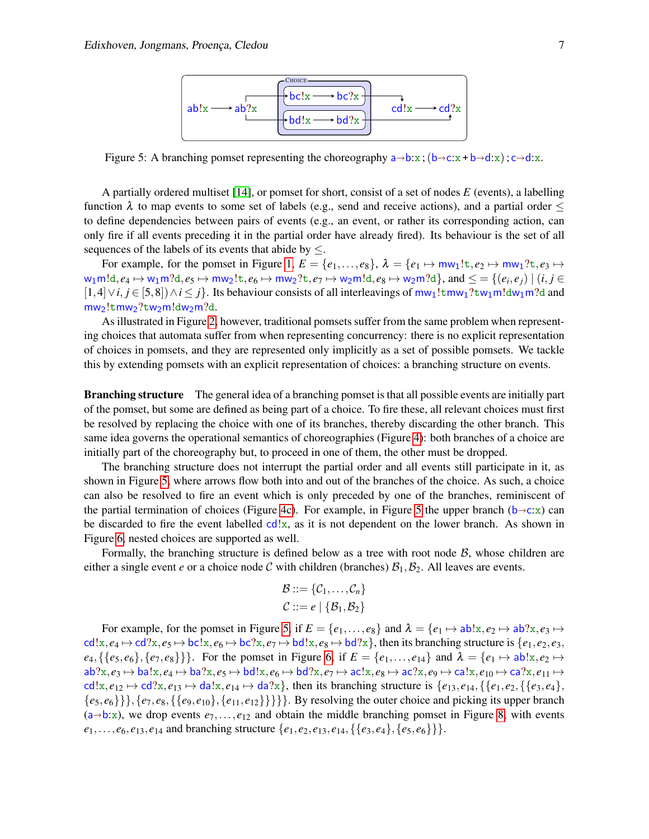<span id="page-6-0"></span>

Figure 5: A branching pomset representing the choreography  $a \rightarrow b:x$ ;  $(b \rightarrow c:x + b \rightarrow d:x)$ ;  $c \rightarrow d:x$ .

A partially ordered multiset [\[14\]](#page-15-9), or pomset for short, consist of a set of nodes *E* (events), a labelling function  $\lambda$  to map events to some set of labels (e.g., send and receive actions), and a partial order  $\leq$ to define dependencies between pairs of events (e.g., an event, or rather its corresponding action, can only fire if all events preceding it in the partial order have already fired). Its behaviour is the set of all sequences of the labels of its events that abide by  $\leq$ .

For example, for the pomset in Figure [1,](#page-1-0)  $E = \{e_1, \ldots, e_8\}$ ,  $\lambda = \{e_1 \mapsto \text{mw}_1! t, e_2 \mapsto \text{mw}_1?t, e_3 \mapsto$  $w_1$ m!d,  $e_4 \mapsto w_1$ m?d,  $e_5 \mapsto$  mw $_2$ !t,  $e_6 \mapsto$  mw $_2$ ?t,  $e_7 \mapsto w_2$ m!d,  $e_8 \mapsto w_2$ m?d}, and  $\leq$   $=$   $\{(e_i,e_j)\mid (i,j \in I)$  $[1,4] ∨ i, j ∈ [5,8]) ∧ i ≤ j$ . Its behaviour consists of all interleavings of mw<sub>1</sub>!tmw<sub>1</sub>?tw<sub>1</sub>m!dw<sub>1</sub>m?d and mw2!tmw2?tw2m!dw2m?d.

As illustrated in Figure [2,](#page-2-0) however, traditional pomsets suffer from the same problem when representing choices that automata suffer from when representing concurrency: there is no explicit representation of choices in pomsets, and they are represented only implicitly as a set of possible pomsets. We tackle this by extending pomsets with an explicit representation of choices: a branching structure on events.

Branching structure The general idea of a branching pomset is that all possible events are initially part of the pomset, but some are defined as being part of a choice. To fire these, all relevant choices must first be resolved by replacing the choice with one of its branches, thereby discarding the other branch. This same idea governs the operational semantics of choreographies (Figure [4\)](#page-4-0): both branches of a choice are initially part of the choreography but, to proceed in one of them, the other must be dropped.

The branching structure does not interrupt the partial order and all events still participate in it, as shown in Figure [5,](#page-6-0) where arrows flow both into and out of the branches of the choice. As such, a choice can also be resolved to fire an event which is only preceded by one of the branches, reminiscent of the partial termination of choices (Figure [4c\)](#page-4-0). For example, in Figure [5](#page-6-0) the upper branch ( $b \rightarrow c:x$ ) can be discarded to fire the event labelled  $cd!x$ , as it is not dependent on the lower branch. As shown in Figure [6,](#page-7-0) nested choices are supported as well.

Formally, the branching structure is defined below as a tree with root node  $\mathcal{B}$ , whose children are either a single event *e* or a choice node C with children (branches)  $B_1, B_2$ . All leaves are events.

$$
\mathcal{B} ::= \{ \mathcal{C}_1, \ldots, \mathcal{C}_n \}
$$
  

$$
\mathcal{C} ::= e \mid \{ \mathcal{B}_1, \mathcal{B}_2 \}
$$

For example, for the pomset in Figure [5,](#page-6-0) if  $E = \{e_1, \ldots, e_8\}$  and  $\lambda = \{e_1 \mapsto ab!x, e_2 \mapsto ab?x, e_3 \mapsto b'x, e_4 \mapsto b'x, e_5 \mapsto b'x, e_6 \mapsto b'x, e_7 \mapsto b'x, e_8 \mapsto b'x, e_9 \mapsto b'x, e_1 \mapsto b'x, e_2 \mapsto b'x, e_3 \mapsto b'x, e_4 \mapsto b'x, e_5 \mapsto b'x, e_7 \mapsto b$  $cd!x, e_4 \mapsto cd?x, e_5 \mapsto bc!x, e_6 \mapsto bc?x, e_7 \mapsto bd!x, e_8 \mapsto bd?x$ , then its branching structure is  $\{e_1, e_2, e_3, e_4 \mapsto bd!x, e_6 \mapsto bd!x, e_7 \mapsto bd!x, e_8 \mapsto bd?x\}$  $e_4, \{\{e_5, e_6\}, \{e_7, e_8\}\}\}\.$  For the pomset in Figure [6,](#page-7-0) if  $E = \{e_1, \ldots, e_{14}\}\$  and  $\lambda = \{e_1 \mapsto ab!x, e_2 \mapsto b!x, e_4 \mapsto b!x, e_5 \mapsto b!x, e_6 \mapsto b!x, e_7 \mapsto b!x, e_8 \mapsto b!x, e_9 \mapsto b!x, e_1 \mapsto b!x, e_2 \mapsto b!x, e_4 \mapsto b!x, e_6 \mapsto b!x, e_7 \mapsto$  $ab$ ?x,  $e_3 \mapsto ba!x, e_4 \mapsto ba?x, e_5 \mapsto bd!x, e_6 \mapsto bd?x, e_7 \mapsto ac!x, e_8 \mapsto ac?x, e_9 \mapsto ca!x, e_{10} \mapsto ca?x, e_{11} \mapsto$  $\text{cd}!\{x,e_{12}\mapsto \text{cd}?\{x,e_{13}\mapsto \text{da}!\{x,e_{14}\mapsto \text{da}?\{x\}}\}$ , then its branching structure is  $\{e_{13},e_{14}, \{e_{1},e_{2}, \{e_{3},e_{4}\}\}$  ${e_5, e_6}$ }},  ${e_7, e_8, {e_9, e_{10}}$ ,  ${e_{11}, e_{12}}$ }}}. By resolving the outer choice and picking its upper branch  $(a \rightarrow b:x)$ , we drop events  $e_7, \ldots, e_{12}$  and obtain the middle branching pomset in Figure [8,](#page-9-1) with events  $e_1, \ldots, e_6, e_{13}, e_{14}$  and branching structure  $\{e_1, e_2, e_{13}, e_{14}, \{\{e_3, e_4\}, \{e_5, e_6\}\}\}.$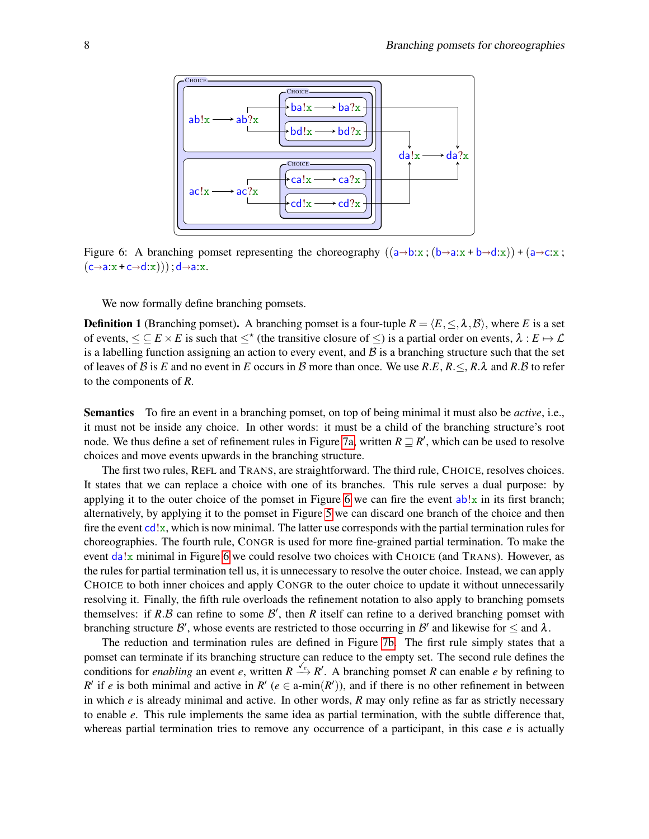<span id="page-7-0"></span>

Figure 6: A branching pomset representing the choreography  $((a\rightarrow b:x ; (b\rightarrow a:x + b\rightarrow d:x)) + (a\rightarrow c:x ;$  $(c \rightarrow a: x + c \rightarrow d: x))$ ;  $d \rightarrow a: x$ .

We now formally define branching pomsets.

<span id="page-7-1"></span>**Definition 1** (Branching pomset). A branching pomset is a four-tuple  $R = \langle E, \leq, \lambda, \mathcal{B} \rangle$ , where *E* is a set of events,  $\leq \subseteq E \times E$  is such that  $\leq^*($  the transitive closure of  $\leq$ ) is a partial order on events,  $\lambda : E \mapsto \mathcal{L}$ is a labelling function assigning an action to every event, and  $\beta$  is a branching structure such that the set of leaves of B is E and no event in E occurs in B more than once. We use  $R.E, R \leq R.\lambda$  and  $R.B$  to refer to the components of *R*.

Semantics To fire an event in a branching pomset, on top of being minimal it must also be *active*, i.e., it must not be inside any choice. In other words: it must be a child of the branching structure's root node. We thus define a set of refinement rules in Figure [7a,](#page-8-0) written  $R \sqsupseteq R'$ , which can be used to resolve choices and move events upwards in the branching structure.

The first two rules, REFL and TRANS, are straightforward. The third rule, CHOICE, resolves choices. It states that we can replace a choice with one of its branches. This rule serves a dual purpose: by applying it to the outer choice of the pomset in Figure [6](#page-7-0) we can fire the event  $ab!x$  in its first branch; alternatively, by applying it to the pomset in Figure [5](#page-6-0) we can discard one branch of the choice and then fire the event  $\text{cd}!x$ , which is now minimal. The latter use corresponds with the partial termination rules for choreographies. The fourth rule, CONGR is used for more fine-grained partial termination. To make the event  $da!x$  minimal in Figure [6](#page-7-0) we could resolve two choices with CHOICE (and TRANS). However, as the rules for partial termination tell us, it is unnecessary to resolve the outer choice. Instead, we can apply CHOICE to both inner choices and apply CONGR to the outer choice to update it without unnecessarily resolving it. Finally, the fifth rule overloads the refinement notation to also apply to branching pomsets themselves: if  $R.B$  can refine to some  $B'$ , then  $R$  itself can refine to a derived branching pomset with branching structure  $\mathcal{B}'$ , whose events are restricted to those occurring in  $\mathcal{B}'$  and likewise for  $\leq$  and  $\lambda$ .

The reduction and termination rules are defined in Figure [7b.](#page-8-0) The first rule simply states that a pomset can terminate if its branching structure can reduce to the empty set. The second rule defines the conditions for *enabling* an event *e*, written  $R \xrightarrow{\check{\ell}_e} R'$ . A branching pomset *R* can enable *e* by refining to *R*<sup>'</sup> if *e* is both minimal and active in *R*<sup>'</sup> ( $e \in \text{a-min}(R')$ ), and if there is no other refinement in between in which *e* is already minimal and active. In other words, *R* may only refine as far as strictly necessary to enable *e*. This rule implements the same idea as partial termination, with the subtle difference that, whereas partial termination tries to remove any occurrence of a participant, in this case *e* is actually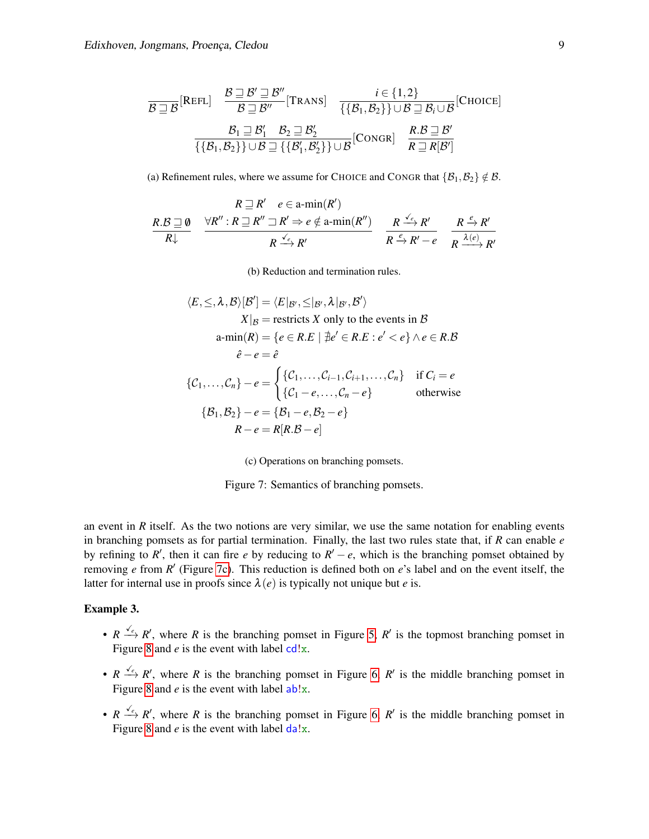<span id="page-8-0"></span>
$$
\frac{\mathcal{B}\sqsupseteq\mathcal{B}}{|\mathcal{B}\sqsupseteq\mathcal{B}|}\frac{\mathcal{B}\sqsupseteq\mathcal{B}'}{\mathcal{B}\sqsupseteq\mathcal{B}'}[\text{Trans}] \quad \frac{i\in\{1,2\}}{\{\{\mathcal{B}_1,\mathcal{B}_2\}\}\cup\mathcal{B}\sqsupseteq\mathcal{B}_i\cup\mathcal{B}}[\text{Choose}] \n\frac{\mathcal{B}_1\sqsupseteq\mathcal{B}_1'}{\{\{\mathcal{B}_1,\mathcal{B}_2\}\}\cup\mathcal{B}\sqsupseteq\{\mathcal{B}_2'\}}\frac{\mathcal{B}_2\sqsupseteq\mathcal{B}_2'}{\mathcal{B}_1'\sqcup\mathcal{B}}[\text{Congr}] \quad \frac{\mathcal{B}_3\sqsupseteq\mathcal{B}'}{\mathcal{R}\sqsupseteq\mathcal{R}[\mathcal{B}']} \quad \frac{\mathcal{B}_4\sqsupseteq\mathcal{B}'}{\mathcal{R}\sqsupseteq\mathcal{R}[\mathcal{B}']}
$$

(a) Refinement rules, where we assume for CHOICE and CONGR that  $\{\mathcal{B}_1,\mathcal{B}_2\} \notin \mathcal{B}$ .

$$
R \supseteq R' \quad e \in \operatorname{a-min}(R')
$$
\n
$$
R \supseteq R \supseteq R'' : R \supseteq R'' \supseteq R' \Rightarrow e \notin \operatorname{a-min}(R'')
$$
\n
$$
R \supseteq R' : R \supseteq R'' \supseteq R' \Rightarrow e \notin \operatorname{a-min}(R'')
$$
\n
$$
R \stackrel{\checkmark_e}{\to} R' \quad R' \to R'' \quad R \stackrel{\checkmark_e}{\to} R'' \quad R \stackrel{\checkmark_e}{\to} R''
$$

(b) Reduction and termination rules.

$$
\langle E, \leq, \lambda, \beta \rangle [\mathcal{B}'] = \langle E|_{\mathcal{B}'}, \leq |_{\mathcal{B}'}, \lambda|_{\mathcal{B}'}, \mathcal{B}' \rangle
$$
  
\n
$$
X|_{\mathcal{B}} = \text{restricts } X \text{ only to the events in } \mathcal{B}
$$
  
\n
$$
a\text{-min}(R) = \{e \in R.E \mid \nexists e' \in R.E : e' < e\} \land e \in R.\mathcal{B}
$$
  
\n
$$
\hat{e} - e = \hat{e}
$$
  
\n
$$
\{C_1, \ldots, C_n\} - e = \begin{cases} \{C_1, \ldots, C_{i-1}, C_{i+1}, \ldots, C_n\} & \text{if } C_i = e \\ \{C_1 - e, \ldots, C_n - e\} & \text{otherwise} \end{cases}
$$
  
\n
$$
\{B_1, B_2\} - e = \{B_1 - e, B_2 - e\}
$$
  
\n
$$
R - e = R[R.B - e]
$$

(c) Operations on branching pomsets.

Figure 7: Semantics of branching pomsets.

an event in  *itself. As the two notions are very similar, we use the same notation for enabling events* in branching pomsets as for partial termination. Finally, the last two rules state that, if *R* can enable *e* by refining to  $R'$ , then it can fire *e* by reducing to  $R' - e$ , which is the branching pomset obtained by removing *e* from *R* ′ (Figure [7c\)](#page-8-0). This reduction is defined both on *e*'s label and on the event itself, the latter for internal use in proofs since  $\lambda(e)$  is typically not unique but *e* is.

#### Example 3.

- $R \xrightarrow{\sqrt{e}} R'$ , where *R* is the branching pomset in Figure [5,](#page-6-0) *R'* is the topmost branching pomset in Figure [8](#page-9-1) and  $e$  is the event with label  $cd!x$ .
- $R \xrightarrow{\sqrt{e}} R'$ , where *R* is the branching pomset in Figure [6,](#page-7-0) *R'* is the middle branching pomset in Figure [8](#page-9-1) and  $e$  is the event with label  $ab!x$ .
- $R \xrightarrow{\sqrt{e}} R'$ , where *R* is the branching pomset in Figure [6,](#page-7-0)  $R'$  is the middle branching pomset in Figure [8](#page-9-1) and  $e$  is the event with label  $\frac{da}{x}$ .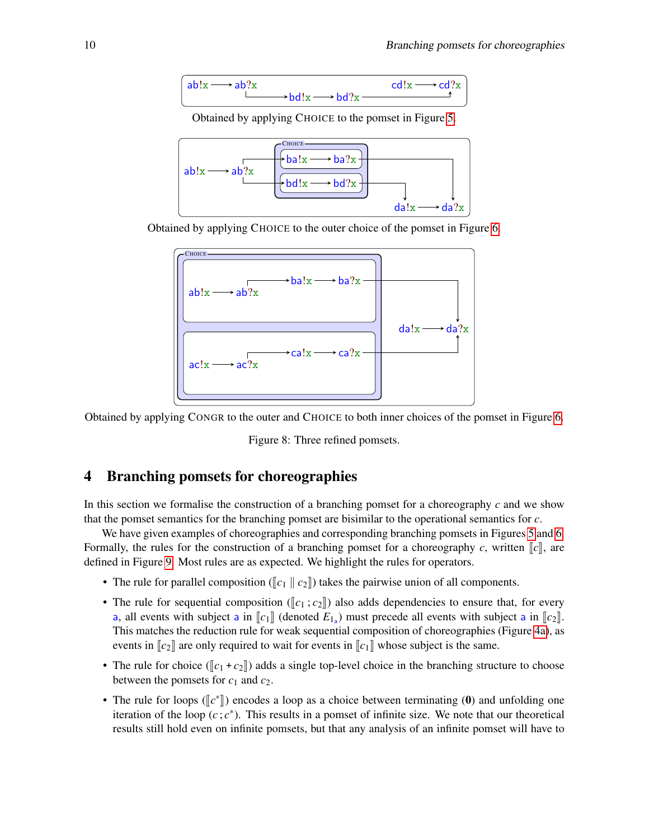<span id="page-9-1"></span>
$$
\left(\begin{array}{c}\nab!x \longrightarrow ab?x \\
\longmapsto \text{bd}!x \longrightarrow \text{bd}?x \longrightarrow \text{cd}!x \longrightarrow \text{cd}?x\n\end{array}\right)
$$

Obtained by applying CHOICE to the pomset in Figure [5.](#page-6-0)



Obtained by applying CHOICE to the outer choice of the pomset in Figure [6.](#page-7-0)



Obtained by applying CONGR to the outer and CHOICE to both inner choices of the pomset in Figure [6.](#page-7-0)

Figure 8: Three refined pomsets.

### <span id="page-9-0"></span>4 Branching pomsets for choreographies

In this section we formalise the construction of a branching pomset for a choreography *c* and we show that the pomset semantics for the branching pomset are bisimilar to the operational semantics for *c*.

We have given examples of choreographies and corresponding branching pomsets in Figures [5](#page-6-0) and [6.](#page-7-0) Formally, the rules for the construction of a branching pomset for a choreography *c*, written  $\llbracket c \rrbracket$ , are defined in Figure [9.](#page-10-0) Most rules are as expected. We highlight the rules for operators.

- The rule for parallel composition ( $\llbracket c_1 \rrbracket$  *c*<sub>2</sub> $\llbracket$ ) takes the pairwise union of all components.
- The rule for sequential composition ( $\llbracket c_1; c_2 \rrbracket$ ) also adds dependencies to ensure that, for every a, all events with subject a in  $\llbracket c_1 \rrbracket$  (denoted  $E_{1a}$ ) must precede all events with subject a in  $\llbracket c_2 \rrbracket$ .<br>This metabes the reduction rule for weak sequential composition of ebergeraphies (*Eigure 4g*), as This matches the reduction rule for weak sequential composition of choreographies (Figure [4a\)](#page-4-0), as events in  $\llbracket c_2 \rrbracket$  are only required to wait for events in  $\llbracket c_1 \rrbracket$  whose subject is the same.
- The rule for choice ( $\llbracket c_1 + c_2 \rrbracket$ ) adds a single top-level choice in the branching structure to choose between the pomsets for  $c_1$  and  $c_2$ .
- The rule for loops ( $\llbracket c^* \rrbracket$ ) encodes a loop as a choice between terminating (0) and unfolding one iteration of the loop  $(c, c^*)$ . This results in a nomest of infinite size. We note that our theoretical iteration of the loop  $(c, c^*)$ . This results in a pomset of infinite size. We note that our theoretical results still hold even on infinite pomsets, but that any analysis of an infinite pomset will have to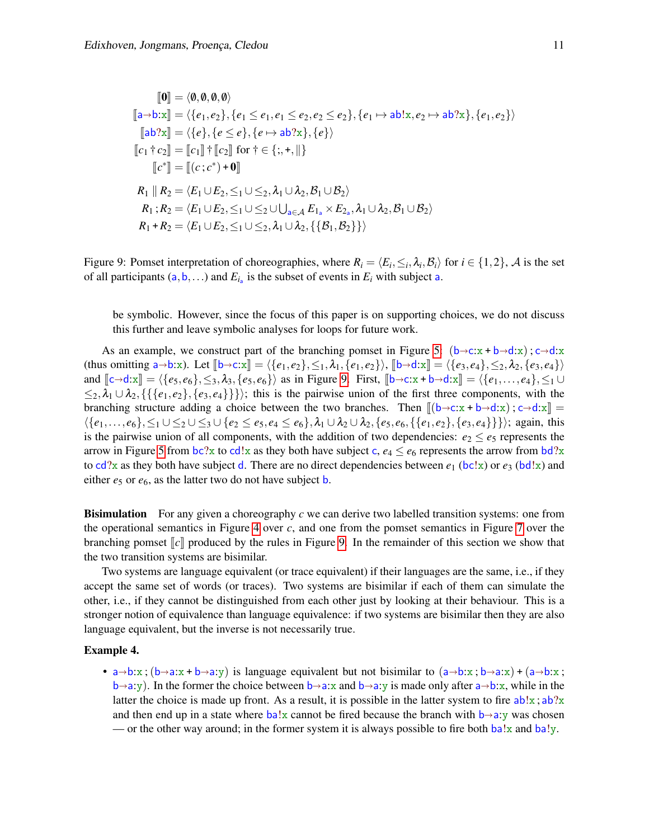<span id="page-10-0"></span>
$$
\begin{aligned}\n\llbracket \mathbf{0} \rrbracket &= \langle \emptyset, \emptyset, \emptyset, \emptyset \rangle \\
\llbracket \mathbf{a} \to \mathbf{b} : \mathbf{x} \rrbracket &= \langle \{e_1, e_2\}, \{e_1 \le e_1, e_1 \le e_2, e_2 \le e_2\}, \{e_1 \mapsto \mathbf{a} \mathbf{b} : \mathbf{x}, e_2 \mapsto \mathbf{a} \mathbf{b} ? \mathbf{x} \}, \{e_1, e_2\} \rangle \\
\llbracket \mathbf{a} \mathbf{b} ? \mathbf{x} \rrbracket &= \langle \{e\}, \{e \le e\}, \{e \mapsto \mathbf{a} \mathbf{b} ? \mathbf{x}\}, \{e\} \rangle \\
\llbracket c_1 \dagger c_2 \rrbracket &= \llbracket c_1 \rrbracket \dagger \llbracket c_2 \rrbracket \text{ for } \dagger \in \{;, +, \parallel\} \\
\llbracket c^* \rrbracket &= \llbracket (c; c^*) + \mathbf{0} \rrbracket \\
R_1 \parallel R_2 &= \langle E_1 \cup E_2, \leq_1 \cup \leq_2, \lambda_1 \cup \lambda_2, \mathcal{B}_1 \cup \mathcal{B}_2 \rangle \\
R_1 \dagger R_2 &= \langle E_1 \cup E_2, \leq_1 \cup \leq_2 \cup \bigcup_{\mathbf{a} \in \mathcal{A}} E_{1_\mathbf{a}} \times E_{2_\mathbf{a}}, \lambda_1 \cup \lambda_2, \mathcal{B}_1 \cup \mathcal{B}_2 \rangle \\
R_1 + R_2 &= \langle E_1 \cup E_2, \leq_1 \cup \leq_2, \lambda_1 \cup \lambda_2, \{\{ \mathcal{B}_1, \mathcal{B}_2 \} \} \rangle\n\end{aligned}
$$

Figure 9: Pomset interpretation of choreographies, where  $R_i = \langle E_i, \leq_i, \lambda_i, \mathcal{B}_i \rangle$  for  $i \in \{1, 2\}$ , A is the set of all participants  $(a, b, ...)$  and  $E_{i_a}$  is the subset of events in  $E_i$  with subject a.

be symbolic. However, since the focus of this paper is on supporting choices, we do not discuss this further and leave symbolic analyses for loops for future work.

As an example, we construct part of the branching pomset in Figure [5:](#page-6-0)  $(b \rightarrow c: x + b \rightarrow d: x)$ ;  $c \rightarrow d: x$ (thus omitting  $a\rightarrow b:x$ ). Let  $[\![b\rightarrow c:x]\!] = \langle \{e_1,e_2\},\leq_1,\lambda_1,\{e_1,e_2\}\rangle$ ,  $[\![b\rightarrow d:x]\!] = \langle \{e_3,e_4\},\leq_2,\lambda_2,\{e_3,e_4\}\rangle$ and  $\llbracket c \rightarrow d: x \rrbracket = \langle \{e_5, e_6\}, \leq_3, \lambda_3, \{e_5, e_6\} \rangle$  as in Figure [9.](#page-10-0) First,  $\llbracket b \rightarrow c: x + b \rightarrow d: x \rrbracket = \langle \{e_1, \ldots, e_4\}, \leq_1 \cup \{e_2, \ldots, e_k\} \rangle$  $\leq_2, \lambda_1 \cup \lambda_2, \{ \{e_1, e_2\}, \{e_3, e_4\} \} \rangle$ ; this is the pairwise union of the first three components, with the branching structure adding a choice between the two branches. Then  $[(b \rightarrow c: x + b \rightarrow d: x) : c \rightarrow d: x]] =$  $\langle \{e_1,\ldots,e_6\},\leq_1 \cup \leq_2 \cup \leq_3 \cup \{e_2 \leq e_5,e_4 \leq e_6\},\lambda_1 \cup \lambda_2 \cup \lambda_2, \{e_5,e_6,\{\{e_1,e_2\},\{e_3,e_4\}\}\}\rangle$ ; again, this is the pairwise union of all components, with the addition of two dependencies:  $e_2 \le e_5$  represents the arrow in Figure [5](#page-6-0) from  $bc?x$  to cd!x as they both have subject c,  $e_4 \le e_6$  represents the arrow from  $bd?x$ to  $cd$ ?x as they both have subject d. There are no direct dependencies between  $e_1$  ( $bc!x$ ) or  $e_3$  ( $bd!x$ ) and either *e*<sub>5</sub> or *e*<sub>6</sub>, as the latter two do not have subject **b**.

Bisimulation For any given a choreography *c* we can derive two labelled transition systems: one from the operational semantics in Figure [4](#page-4-0) over *c*, and one from the pomset semantics in Figure [7](#page-8-0) over the branching pomset  $\llbracket c \rrbracket$  produced by the rules in Figure [9.](#page-10-0) In the remainder of this section we show that the two transition systems are bisimilar.

Two systems are language equivalent (or trace equivalent) if their languages are the same, i.e., if they accept the same set of words (or traces). Two systems are bisimilar if each of them can simulate the other, i.e., if they cannot be distinguished from each other just by looking at their behaviour. This is a stronger notion of equivalence than language equivalence: if two systems are bisimilar then they are also language equivalent, but the inverse is not necessarily true.

#### Example 4.

• a $\rightarrow$ b:x;  $(b\rightarrow a:x + b\rightarrow a:y)$  is language equivalent but not bisimilar to  $(a\rightarrow b:x ; b\rightarrow a:x) + (a\rightarrow b:x ;$  $b\rightarrow a:y$ ). In the former the choice between  $b\rightarrow a:x$  and  $b\rightarrow a:y$  is made only after  $a\rightarrow b:x$ , while in the latter the choice is made up front. As a result, it is possible in the latter system to fire  $ab!x$ ;  $ab?x$ and then end up in a state where  $ba!x$  cannot be fired because the branch with  $b \rightarrow a:y$  was chosen — or the other way around; in the former system it is always possible to fire both  $ba!x$  and  $ba!y$ .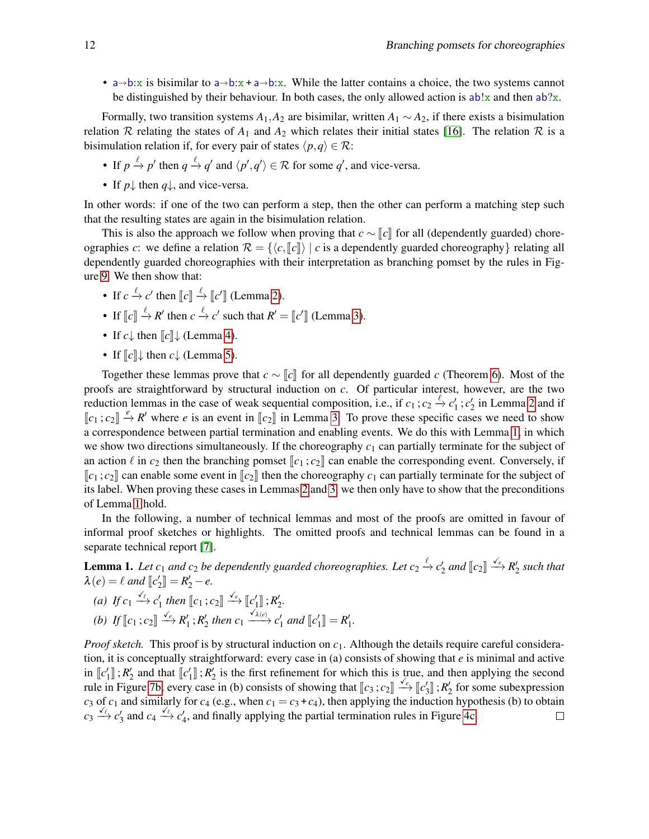•  $a \rightarrow b:x$  is bisimilar to  $a \rightarrow b:x + a \rightarrow b:x$ . While the latter contains a choice, the two systems cannot be distinguished by their behaviour. In both cases, the only allowed action is  $ab!x$  and then  $ab?x$ .

Formally, two transition systems  $A_1$ ,  $A_2$  are bisimilar, written  $A_1 \sim A_2$ , if there exists a bisimulation relation R relating the states of  $A_1$  and  $A_2$  which relates their initial states [\[16\]](#page-15-10). The relation R is a bisimulation relation if, for every pair of states  $\langle p, q \rangle \in \mathcal{R}$ :

- If  $p \stackrel{\ell}{\rightarrow} p'$  then  $q \stackrel{\ell}{\rightarrow} q'$  and  $\langle p', q' \rangle \in \mathcal{R}$  for some  $q'$ , and vice-versa.
- If *p*<sup> $\parallel$ </sup>, then *q*<sup> $\parallel$ </sup>, and vice-versa.

In other words: if one of the two can perform a step, then the other can perform a matching step such that the resulting states are again in the bisimulation relation.

This is also the approach we follow when proving that  $c \sim \llbracket c \rrbracket$  for all (dependently guarded) choreographies *c*: we define a relation  $\mathcal{R} = \{ \langle c, \lceil c \rceil \rangle \mid c \text{ is a dependency quarded choreography} \}$  relating all dependently guarded choreographies with their interpretation as branching pomset by the rules in Figure [9.](#page-10-0) We then show that:

- If  $c \stackrel{\ell}{\rightarrow} c'$  then  $\llbracket c \rrbracket \stackrel{\ell}{\rightarrow} \llbracket c' \rrbracket$  (Lemma [2\)](#page-11-0).
- If  $\llbracket c \rrbracket \stackrel{\ell}{\to} R'$  then  $c \stackrel{\ell}{\to} c'$  such that  $R' = \llbracket c' \rrbracket$  (Lemma [3\)](#page-12-1).
- If  $c \downarrow$  then  $\llbracket c \rrbracket \downarrow$  (Lemma [4\)](#page-12-2).
- If  $\llbracket c \rrbracket \downarrow$  then  $c \downarrow$  (Lemma [5\)](#page-12-3).

Together these lemmas prove that  $c \sim ||c||$  for all dependently guarded *c* (Theorem [6\)](#page-12-4). Most of the proofs are straightforward by structural induction on *c*. Of particular interest, however, are the two reduction lemmas in the case of weak sequential composition, i.e., if  $c_1$ ;  $c_2 \stackrel{\ell}{\to} c'_1$ ;  $c'_2$  in Lemma [2](#page-11-0) and if  $\llbracket c_1; c_2 \rrbracket \stackrel{e}{\rightarrow} R'$  where *e* is an event in  $\llbracket c_2 \rrbracket$  in Lemma [3.](#page-12-1) To prove these specific cases we need to show a correspondence between partial termination and enabling events. We do this with Lemma [1,](#page-11-1) in which we show two directions simultaneously. If the choreography  $c_1$  can partially terminate for the subject of an action  $\ell$  in  $c_2$  then the branching pomset  $\llbracket c_1; c_2 \rrbracket$  can enable the corresponding event. Conversely, if  $\llbracket c_1; c_2 \rrbracket$  can enable some event in  $\llbracket c_2 \rrbracket$  then the choreography  $c_1$  can partially terminate for the subject of its label. When proving these cases in Lemmas [2](#page-11-0) and [3,](#page-12-1) we then only have to show that the preconditions of Lemma [1](#page-11-1) hold.

In the following, a number of technical lemmas and most of the proofs are omitted in favour of informal proof sketches or highlights. The omitted proofs and technical lemmas can be found in a separate technical report [\[7\]](#page-15-11).

<span id="page-11-1"></span>**Lemma 1.** Let  $c_1$  and  $c_2$  be dependently guarded choreographies. Let  $c_2 \xrightarrow{\ell} c'_2$  and  $[[c_2]] \xrightarrow{\checkmark_c} R'_2$  such that  $\lambda(e) = \ell$  and  $[\![c'_2]\!] = R'_2 - e$ .

- *(a) If*  $c_1 \xrightarrow{\sqrt{\ell}} c'_1$  *then*  $\llbracket c_1; c_2 \rrbracket \xrightarrow{\sqrt{\ell}} \llbracket c'_1 \rrbracket$  *; R'*<sub>2</sub>*.*
- *(b) If*  $\llbracket c_1; c_2 \rrbracket \xrightarrow{\checkmark_c} R'_1; R'_2$  then  $c_1 \xrightarrow{\checkmark_{\lambda(e)}} c'_1$  and  $\llbracket c'_1 \rrbracket = R'_1.$

<span id="page-11-0"></span>*Proof sketch.* This proof is by structural induction on  $c_1$ . Although the details require careful consideration, it is conceptually straightforward: every case in (a) consists of showing that *e* is minimal and active in  $\llbracket c'_1 \rrbracket$ ;  $R'_2$  and that  $\llbracket c'_1 \rrbracket$ ;  $R'_2$  is the first refinement for which this is true, and then applying the second rule in Figure [7b;](#page-8-0) every case in (b) consists of showing that  $\llbracket c_3; c_2 \rrbracket \xrightarrow{\checkmark} \llbracket c'_3 \rrbracket$ ;  $R'_2$  for some subexpression<br>a of a and similarly for a (a  $\sigma$ , when  $a = a + a$ ) then applying the induction hypothesis (b)  $c_3$  of  $c_1$  and similarly for  $c_4$  (e.g., when  $c_1 = c_3 + c_4$ ), then applying the induction hypothesis (b) to obtain  $c_3 \xrightarrow{f_6} c'_3$  and  $c_4 \xrightarrow{f_6} c'_4$ , and finally applying the partial termination rules in Figure [4c.](#page-4-0)  $\Box$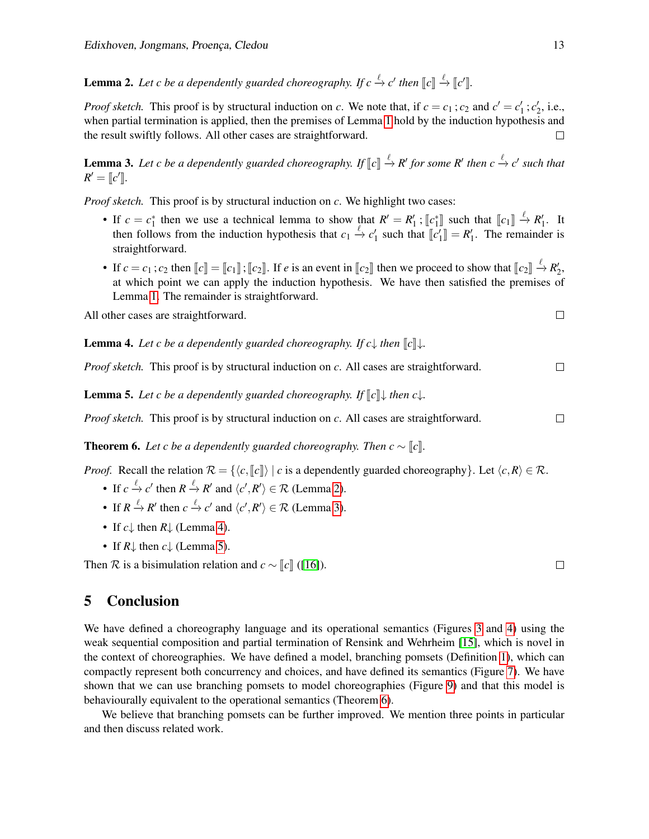**Lemma 2.** Let c be a dependently guarded choreography. If  $c \xrightarrow{\ell} c'$  then  $[[c]] \xrightarrow{\ell} [[c']]$ .

*Proof sketch.* This proof is by structural induction on *c*. We note that, if  $c = c_1$ ;  $c_2$  and  $c' = c'_1$ ;  $c'_2$ , i.e., when partial termination is applied, then the premises of Lemma [1](#page-11-1) hold by the induction hypothesis and the result swiftly follows. All other cases are straightforward.  $\Box$ 

<span id="page-12-1"></span>**Lemma 3.** Let c be a dependently guarded choreography. If  $\llbracket c \rrbracket \xrightarrow{\ell} R'$  for some  $R'$  then  $c \xrightarrow{\ell} c'$  such that  $P' = \llbracket c' \rrbracket$  $R' = [c']$ .

*Proof sketch.* This proof is by structural induction on *c*. We highlight two cases:

- If  $c = c_1^*$  then we use a technical lemma to show that  $R' = R_1'$ ;  $[c_1^*]$  such that  $[c_1] \stackrel{\ell}{\rightarrow} R_1'$ . It then follows from the induction hypothesis that  $c_1 \stackrel{\ell}{\rightarrow} c_2'$  such that  $[c_1^*] = P_1'$ . The remainder is then follows from the induction hypothesis that  $c_1 \stackrel{\ell}{\to} c'_1$  such that  $\llbracket c'_1 \rrbracket = R'_1$ . The remainder is straightforward.
- If  $c = c_1$ ;  $c_2$  then  $\llbracket c \rrbracket = \llbracket c_1 \rrbracket$ ;  $\llbracket c_2 \rrbracket$ . If *e* is an event in  $\llbracket c_2 \rrbracket$  then we proceed to show that  $\llbracket c_2 \rrbracket \xrightarrow{\ell} R'_2$ , at which point we gen emply the induction hypothesis. We have then at which point we can apply the induction hypothesis. We have then satisfied the premises of Lemma [1.](#page-11-1) The remainder is straightforward.

All other cases are straightforward.

<span id="page-12-2"></span>**Lemma 4.** Let c be a dependently guarded choreography. If  $c \downarrow$  then  $\llbracket c \rrbracket \downarrow$ .

*Proof sketch.* This proof is by structural induction on *c*. All cases are straightforward.

<span id="page-12-3"></span>**Lemma 5.** Let c be a dependently guarded choreography. If  $\llbracket c \rrbracket$  then  $c \downarrow$ .

*Proof sketch.* This proof is by structural induction on *c*. All cases are straightforward.

<span id="page-12-4"></span>**Theorem 6.** Let c be a dependently guarded choreography. Then  $c \sim [c]$ .

*Proof.* Recall the relation  $\mathcal{R} = \{ \langle c, \llbracket c \rrbracket \rangle \mid c \text{ is a dependency guarded choreography} \}.$  Let  $\langle c, R \rangle \in \mathcal{R}$ .

- If  $c \stackrel{\ell}{\to} c'$  then  $R \stackrel{\ell}{\to} R'$  and  $\langle c', R' \rangle \in \mathcal{R}$  (Lemma [2\)](#page-11-0).
- If  $R \stackrel{\ell}{\to} R'$  then  $c \stackrel{\ell}{\to} c'$  and  $\langle c', R' \rangle \in \mathcal{R}$  (Lemma [3\)](#page-12-1).
- If  $c \downarrow$  then  $R \downarrow$  (Lemma [4\)](#page-12-2).
- If  $R\downarrow$  then  $c\downarrow$  (Lemma [5\)](#page-12-3).

Then R is a bisimulation relation and  $c \sim \llbracket c \rrbracket$  ([\[16\]](#page-15-10)).

# <span id="page-12-0"></span>5 Conclusion

We have defined a choreography language and its operational semantics (Figures [3](#page-3-1) and [4\)](#page-4-0) using the weak sequential composition and partial termination of Rensink and Wehrheim [\[15\]](#page-15-8), which is novel in the context of choreographies. We have defined a model, branching pomsets (Definition [1\)](#page-7-1), which can compactly represent both concurrency and choices, and have defined its semantics (Figure [7\)](#page-8-0). We have shown that we can use branching pomsets to model choreographies (Figure [9\)](#page-10-0) and that this model is behaviourally equivalent to the operational semantics (Theorem [6\)](#page-12-4).

We believe that branching pomsets can be further improved. We mention three points in particular and then discuss related work.

 $\Box$ 

 $\Box$ 

 $\Box$ 

 $\Box$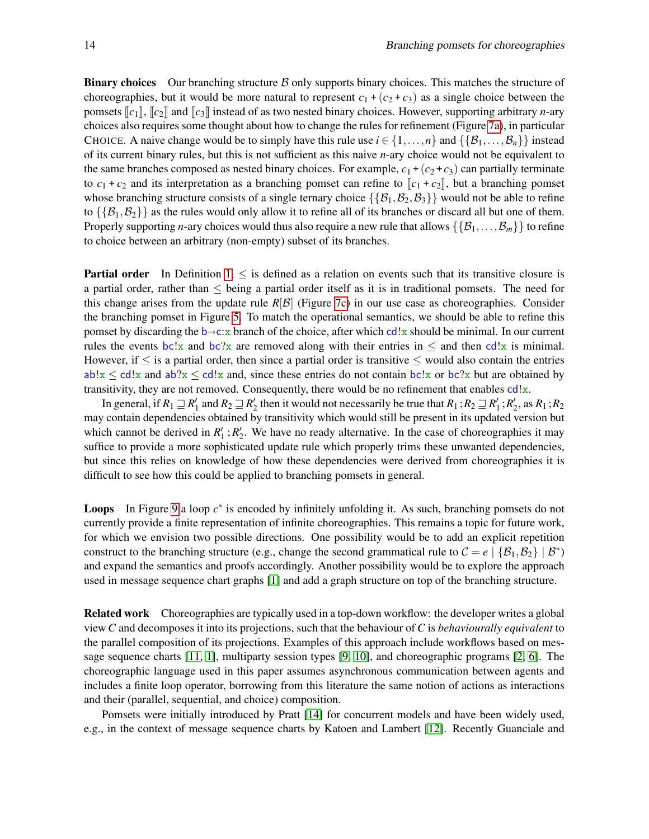**Binary choices** Our branching structure  $\beta$  only supports binary choices. This matches the structure of choreographies, but it would be more natural to represent  $c_1 + (c_2 + c_3)$  as a single choice between the pomsets  $\llbracket c_1 \rrbracket$ ,  $\llbracket c_2 \rrbracket$  and  $\llbracket c_3 \rrbracket$  instead of as two nested binary choices. However, supporting arbitrary *n*-ary choices also requires some thought about how to change the rules for refinement (Figure [7a\)](#page-8-0), in particular CHOICE. A naive change would be to simply have this rule use  $i \in \{1, ..., n\}$  and  $\{\{\mathcal{B}_1, ..., \mathcal{B}_n\}\}\$ of its current binary rules, but this is not sufficient as this naive *n*-ary choice would not be equivalent to the same branches composed as nested binary choices. For example,  $c_1 + (c_2 + c_3)$  can partially terminate to  $c_1 + c_2$  and its interpretation as a branching pomset can refine to  $\llbracket c_1 + c_2 \rrbracket$ , but a branching pomset whose branching structure consists of a single ternary choice  $\{\{\mathcal{B}_1,\mathcal{B}_2,\mathcal{B}_3\}\}\$  would not be able to refine to  $\{\{\mathcal{B}_1,\mathcal{B}_2\}\}\$  as the rules would only allow it to refine all of its branches or discard all but one of them. Properly supporting *n*-ary choices would thus also require a new rule that allows  $\{\{\mathcal{B}_1,\ldots,\mathcal{B}_m\}\}\$  to refine to choice between an arbitrary (non-empty) subset of its branches.

**Partial order** In Definition  $1, \leq$  is defined as a relation on events such that its transitive closure is a partial order, rather than  $\leq$  being a partial order itself as it is in traditional pomsets. The need for this change arises from the update rule  $R[\mathcal{B}]$  (Figure [7c\)](#page-8-0) in our use case as choreographies. Consider the branching pomset in Figure [5.](#page-6-0) To match the operational semantics, we should be able to refine this pomset by discarding the  $b\rightarrow c:\mathbf{x}$  branch of the choice, after which cd!x should be minimal. In our current rules the events bc!x and bc?x are removed along with their entries in  $\leq$  and then cd!x is minimal. However, if  $\leq$  is a partial order, then since a partial order is transitive  $\leq$  would also contain the entries  $ab!x \leq c d!x$  and  $ab?x \leq c d!x$  and, since these entries do not contain bc!x or bc?x but are obtained by transitivity, they are not removed. Consequently, there would be no refinement that enables cd!x.

In general, if  $R_1 \sqsupseteq R'_1$  and  $R_2 \sqsupseteq R'_2$  then it would not necessarily be true that  $R_1$ ;  $R_2 \sqsupseteq R'_1$ ;  $R'_2$ , as  $R_1$ ;  $R_2$ may contain dependencies obtained by transitivity which would still be present in its updated version but which cannot be derived in  $R'_1$ ;  $R'_2$ . We have no ready alternative. In the case of choreographies it may suffice to provide a more sophisticated update rule which properly trims these unwanted dependencies, but since this relies on knowledge of how these dependencies were derived from choreographies it is difficult to see how this could be applied to branching pomsets in general.

Loops In Figure [9](#page-10-0) a loop  $c^*$  is encoded by infinitely unfolding it. As such, branching pomsets do not currently provide a finite representation of infinite choreographies. This remains a topic for future work, for which we envision two possible directions. One possibility would be to add an explicit repetition construct to the branching structure (e.g., change the second grammatical rule to  $C = e \mid \{B_1, B_2\} \mid B^*$ ) and expand the semantics and proofs accordingly. Another possibility would be to explore the approach used in message sequence chart graphs [\[1\]](#page-14-0) and add a graph structure on top of the branching structure.

Related work Choreographies are typically used in a top-down workflow: the developer writes a global view *C* and decomposes it into its projections, such that the behaviour of *C* is *behaviourally equivalent* to the parallel composition of its projections. Examples of this approach include workflows based on message sequence charts [\[11,](#page-15-0) [1\]](#page-14-0), multiparty session types [\[9,](#page-15-1) [10\]](#page-15-2), and choreographic programs [\[2,](#page-14-1) [6\]](#page-15-3). The choreographic language used in this paper assumes asynchronous communication between agents and includes a finite loop operator, borrowing from this literature the same notion of actions as interactions and their (parallel, sequential, and choice) composition.

Pomsets were initially introduced by Pratt [\[14\]](#page-15-9) for concurrent models and have been widely used, e.g., in the context of message sequence charts by Katoen and Lambert [\[12\]](#page-15-6). Recently Guanciale and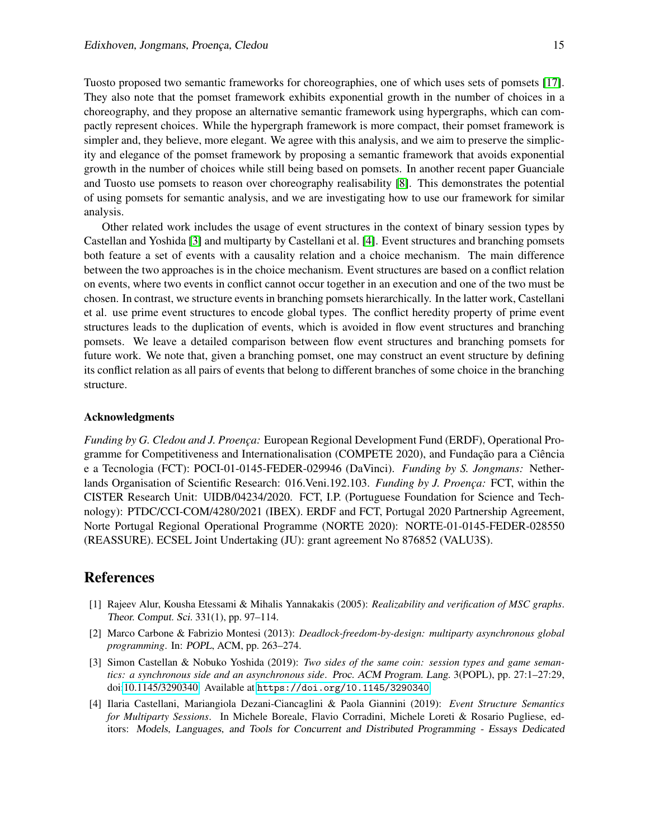Tuosto proposed two semantic frameworks for choreographies, one of which uses sets of pomsets [\[17\]](#page-15-12). They also note that the pomset framework exhibits exponential growth in the number of choices in a choreography, and they propose an alternative semantic framework using hypergraphs, which can compactly represent choices. While the hypergraph framework is more compact, their pomset framework is simpler and, they believe, more elegant. We agree with this analysis, and we aim to preserve the simplicity and elegance of the pomset framework by proposing a semantic framework that avoids exponential growth in the number of choices while still being based on pomsets. In another recent paper Guanciale and Tuosto use pomsets to reason over choreography realisability [\[8\]](#page-15-7). This demonstrates the potential of using pomsets for semantic analysis, and we are investigating how to use our framework for similar analysis.

Other related work includes the usage of event structures in the context of binary session types by Castellan and Yoshida [\[3\]](#page-14-2) and multiparty by Castellani et al. [\[4\]](#page-14-3). Event structures and branching pomsets both feature a set of events with a causality relation and a choice mechanism. The main difference between the two approaches is in the choice mechanism. Event structures are based on a conflict relation on events, where two events in conflict cannot occur together in an execution and one of the two must be chosen. In contrast, we structure events in branching pomsets hierarchically. In the latter work, Castellani et al. use prime event structures to encode global types. The conflict heredity property of prime event structures leads to the duplication of events, which is avoided in flow event structures and branching pomsets. We leave a detailed comparison between flow event structures and branching pomsets for future work. We note that, given a branching pomset, one may construct an event structure by defining its conflict relation as all pairs of events that belong to different branches of some choice in the branching structure.

#### Acknowledgments

*Funding by G. Cledou and J. Proença: European Regional Development Fund (ERDF), Operational Pro*gramme for Competitiveness and Internationalisation (COMPETE 2020), and Fundação para a Ciência e a Tecnologia (FCT): POCI-01-0145-FEDER-029946 (DaVinci). *Funding by S. Jongmans:* Netherlands Organisation of Scientific Research: 016.Veni.192.103. *Funding by J. Proença*: FCT, within the CISTER Research Unit: UIDB/04234/2020. FCT, I.P. (Portuguese Foundation for Science and Technology): PTDC/CCI-COM/4280/2021 (IBEX). ERDF and FCT, Portugal 2020 Partnership Agreement, Norte Portugal Regional Operational Programme (NORTE 2020): NORTE-01-0145-FEDER-028550 (REASSURE). ECSEL Joint Undertaking (JU): grant agreement No 876852 (VALU3S).

#### References

- <span id="page-14-0"></span>[1] Rajeev Alur, Kousha Etessami & Mihalis Yannakakis (2005): *Realizability and verification of MSC graphs*. Theor. Comput. Sci. 331(1), pp. 97–114.
- <span id="page-14-1"></span>[2] Marco Carbone & Fabrizio Montesi (2013): *Deadlock-freedom-by-design: multiparty asynchronous global programming*. In: POPL, ACM, pp. 263–274.
- <span id="page-14-2"></span>[3] Simon Castellan & Nobuko Yoshida (2019): *Two sides of the same coin: session types and game semantics: a synchronous side and an asynchronous side*. Proc. ACM Program. Lang. 3(POPL), pp. 27:1–27:29, doi[:10.1145/3290340.](http://dx.doi.org/10.1145/3290340) Available at <https://doi.org/10.1145/3290340>.
- <span id="page-14-3"></span>[4] Ilaria Castellani, Mariangiola Dezani-Ciancaglini & Paola Giannini (2019): *Event Structure Semantics for Multiparty Sessions*. In Michele Boreale, Flavio Corradini, Michele Loreti & Rosario Pugliese, editors: Models, Languages, and Tools for Concurrent and Distributed Programming - Essays Dedicated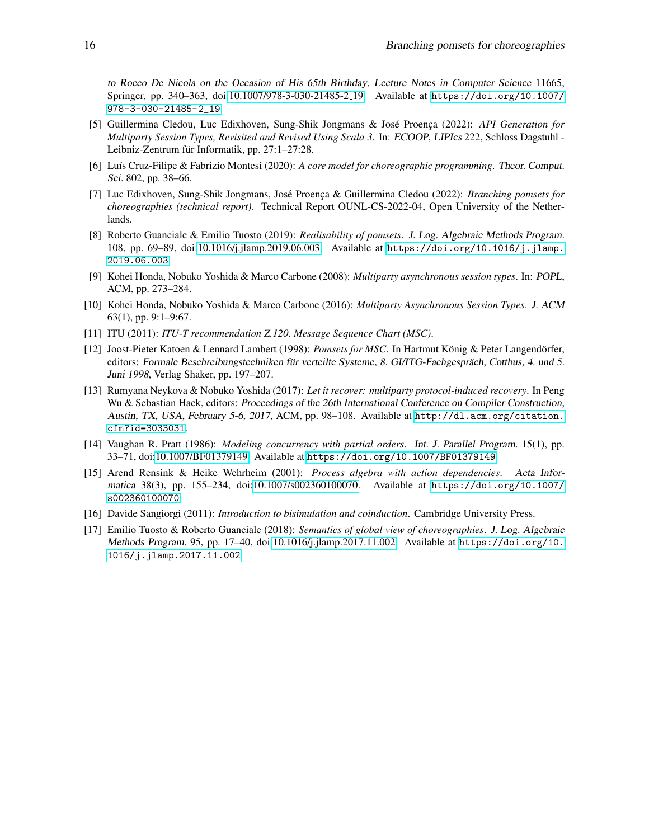to Rocco De Nicola on the Occasion of His 65th Birthday, Lecture Notes in Computer Science 11665, Springer, pp. 340–363, doi[:10.1007/978-3-030-21485-2](http://dx.doi.org/10.1007/978-3-030-21485-2_19) 19. Available at [https://doi.org/10.1007/](https://doi.org/10.1007/978-3-030-21485-2_19) [978-3-030-21485-2\\_19](https://doi.org/10.1007/978-3-030-21485-2_19).

- <span id="page-15-4"></span>[5] Guillermina Cledou, Luc Edixhoven, Sung-Shik Jongmans & José Proença (2022): *API Generation for Multiparty Session Types, Revisited and Revised Using Scala 3*. In: ECOOP, LIPIcs 222, Schloss Dagstuhl - Leibniz-Zentrum für Informatik, pp. 27:1–27:28.
- <span id="page-15-3"></span>[6] Lu´ıs Cruz-Filipe & Fabrizio Montesi (2020): *A core model for choreographic programming*. Theor. Comput. Sci. 802, pp. 38–66.
- <span id="page-15-11"></span>[7] Luc Edixhoven, Sung-Shik Jongmans, José Proença & Guillermina Cledou (2022): *Branching pomsets for choreographies (technical report)*. Technical Report OUNL-CS-2022-04, Open University of the Netherlands.
- <span id="page-15-7"></span>[8] Roberto Guanciale & Emilio Tuosto (2019): *Realisability of pomsets*. J. Log. Algebraic Methods Program. 108, pp. 69–89, doi[:10.1016/j.jlamp.2019.06.003.](http://dx.doi.org/10.1016/j.jlamp.2019.06.003) Available at [https://doi.org/10.1016/j.jlamp.](https://doi.org/10.1016/j.jlamp.2019.06.003) [2019.06.003](https://doi.org/10.1016/j.jlamp.2019.06.003).
- <span id="page-15-1"></span>[9] Kohei Honda, Nobuko Yoshida & Marco Carbone (2008): *Multiparty asynchronous session types*. In: POPL, ACM, pp. 273–284.
- <span id="page-15-2"></span>[10] Kohei Honda, Nobuko Yoshida & Marco Carbone (2016): *Multiparty Asynchronous Session Types*. J. ACM 63(1), pp. 9:1–9:67.
- <span id="page-15-0"></span>[11] ITU (2011): *ITU-T recommendation Z.120. Message Sequence Chart (MSC)*.
- <span id="page-15-6"></span>[12] Joost-Pieter Katoen & Lennard Lambert (1998): *Pomsets for MSC*. In Hartmut König & Peter Langendörfer, editors: Formale Beschreibungstechniken für verteilte Systeme, 8. GI/ITG-Fachgespräch, Cottbus, 4. und 5. Juni 1998, Verlag Shaker, pp. 197–207.
- <span id="page-15-5"></span>[13] Rumyana Neykova & Nobuko Yoshida (2017): *Let it recover: multiparty protocol-induced recovery*. In Peng Wu & Sebastian Hack, editors: Proceedings of the 26th International Conference on Compiler Construction, Austin, TX, USA, February 5-6, 2017, ACM, pp. 98–108. Available at [http://dl.acm.org/citation.](http://dl.acm.org/citation.cfm?id=3033031) [cfm?id=3033031](http://dl.acm.org/citation.cfm?id=3033031).
- <span id="page-15-9"></span>[14] Vaughan R. Pratt (1986): *Modeling concurrency with partial orders*. Int. J. Parallel Program. 15(1), pp. 33–71, doi[:10.1007/BF01379149.](http://dx.doi.org/10.1007/BF01379149) Available at <https://doi.org/10.1007/BF01379149>.
- <span id="page-15-8"></span>[15] Arend Rensink & Heike Wehrheim (2001): *Process algebra with action dependencies*. Acta Informatica 38(3), pp. 155–234, doi[:10.1007/s002360100070.](http://dx.doi.org/10.1007/s002360100070) Available at [https://doi.org/10.1007/](https://doi.org/10.1007/s002360100070) [s002360100070](https://doi.org/10.1007/s002360100070).
- <span id="page-15-10"></span>[16] Davide Sangiorgi (2011): *Introduction to bisimulation and coinduction*. Cambridge University Press.
- <span id="page-15-12"></span>[17] Emilio Tuosto & Roberto Guanciale (2018): *Semantics of global view of choreographies*. J. Log. Algebraic Methods Program. 95, pp. 17–40, doi[:10.1016/j.jlamp.2017.11.002.](http://dx.doi.org/10.1016/j.jlamp.2017.11.002) Available at [https://doi.org/10.](https://doi.org/10.1016/j.jlamp.2017.11.002) [1016/j.jlamp.2017.11.002](https://doi.org/10.1016/j.jlamp.2017.11.002).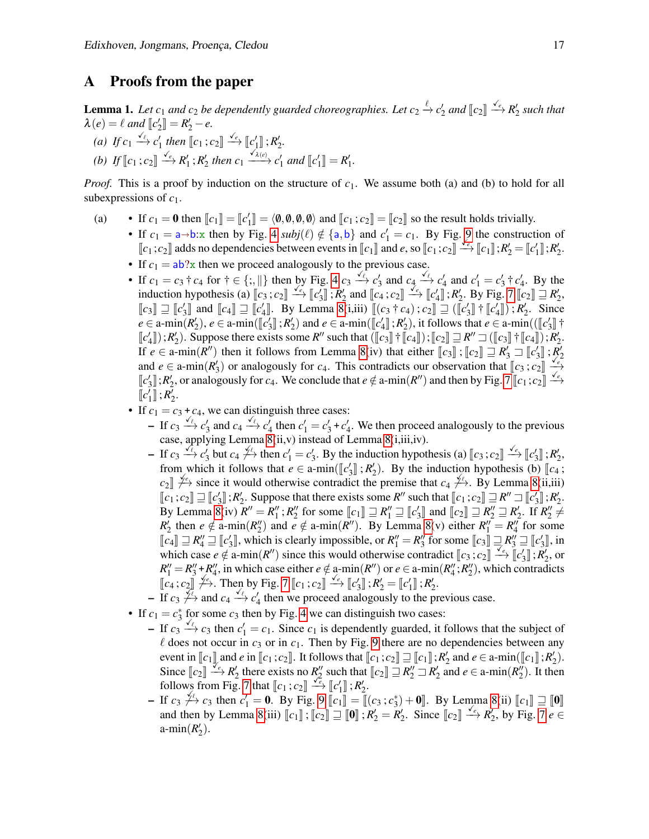#### A Proofs from the paper

**Lemma 1.** Let  $c_1$  and  $c_2$  be dependently guarded choreographies. Let  $c_2 \xrightarrow{\ell} c'_2$  and  $[[c_2]] \xrightarrow{\checkmark_c} R'_2$  such that  $\lambda(e) = \ell$  *and*  $\llbracket c_2' \rrbracket = R_2' - e$ .

(a) If  $c_1 \xrightarrow{\sqrt{\ell}} c'_1$  then  $\llbracket c_1; c_2 \rrbracket \xrightarrow{\sqrt{\ell}} \llbracket c'_1 \rrbracket$ ;  $R'_2$ . (b) If  $\llbracket c_1 : c_2 \rrbracket \xrightarrow{\checkmark_c} R'_1 : R'_2$  then  $c_1 \xrightarrow{\checkmark_{\checkmark_{\checkmark(c)}}} c'_1$  and  $\llbracket c'_1 \rrbracket = R'_1$ .

*Proof.* This is a proof by induction on the structure of  $c_1$ . We assume both (a) and (b) to hold for all subexpressions of *c*1.

- (a) If  $c_1 = \mathbf{0}$  then  $\llbracket c_1 \rrbracket = \llbracket c'_1 \rrbracket = \langle \mathbf{0}, \mathbf{0}, \mathbf{0}, \mathbf{0}, \mathbf{0} \rangle$  and  $\llbracket c_1; c_2 \rrbracket = \llbracket c_2 \rrbracket$  so the result holds trivially.
	- If  $c_1 = a \rightarrow b$ : x then by Fig. [4](#page-4-0)  $\text{subj}(\ell) \notin \{a, b\}$  and  $c'_1 = c_1$ . By Fig. [9](#page-10-0) the construction of  $\llbracket c_1; c_2 \rrbracket$  adds no dependencies between events in  $\llbracket c_1 \rrbracket$  and *e*, so  $\llbracket c_1; c_2 \rrbracket \xrightarrow{e} \llbracket c_1 \rrbracket$ ;  $R'_2 = \llbracket c'_1 \rrbracket$ ;  $R'_2$ .
	- If  $c_1 = ab$ ?x then we proceed analogously to the previous case.
	- If  $c_1 = c_3 \dagger c_4$  for  $\dagger \in \{\, ; , \parallel \}$  then by Fig. [4](#page-4-0)  $c_3 \xrightarrow{\sqrt{\ell}} c'_3$  and  $c_4 \xrightarrow{\sqrt{\ell}} c'_4$  and  $c'_1 = c'_3 \dagger c'_4$ . By the induction hypothesis (a)  $\llbracket c_3; c_2 \rrbracket \xrightarrow{f} \llbracket c'_3 \rrbracket$ ;  $R'_2$  and  $\llbracket c_4; c_2 \rrbracket \xrightarrow{f} \llbracket c'_4 \rrbracket$ ;  $R'_2$ . By Fig. [7](#page-8-0)  $\llbracket c_2 \rrbracket \rightrightarrows R'_2$ ,<br> $\llbracket c \rrbracket$  and  $\llbracket a \rrbracket \rightrightarrows a$  and  $\llbracket c_4; c_2 \rrbracket \xrightarrow{f} \llbracket c'_4 \rrbracket$ *[c<sub>3</sub>*]  $\exists$  *[c<sub>4</sub>*]  $\exists$  *c<sub>4</sub>]*  $\exists$  *<i>[c<sub>4</sub>*]  $\exists$  *[c<sub>4</sub>*]  $\exists$  *[c<sub>4</sub>*]  $\exists$  *[c<sub>4</sub>]*  $\exists$  *[c<sub>4</sub><sup>1</sup>]*  $\exists$  *k<sub>2</sub>*  $\exists$  *since*  $\exists$  *c*<sub>2</sub>  $\exists$  *min*(*F<sub>6</sub><sup>/</sup>*  $\exists$  $\exists$  *<i>k*<sub>2</sub>  $\exists$  *c*<sub>2</sub>  $\exists$  *min*(*F<sub>6</sub><sup>/</sup>*  $\exists$  $e \in \text{a-min}(R'_2), e \in \text{a-min}(\llbracket c'_3 \rrbracket$ ;  $R'_2)$  and  $e \in \text{a-min}(\llbracket c'_4 \rrbracket$ ;  $R'_2)$ , it follows that  $e \in \text{a-min}(\llbracket c'_5 \rrbracket$ ;  $\llbracket c'_7 \rrbracket$ ),  $R'_1$  $\llbracket c'_4 \rrbracket$ ; *R*'<sub>2</sub>). Suppose there exists some *R''* such that  $\llbracket c_3 \rrbracket + \llbracket c_4 \rrbracket$ ;  $\llbracket c_2 \rrbracket = R' \rbrack \rbrack \llbracket c_3 \rrbracket + \llbracket c_4 \rrbracket$ ;  $R'_2$ . If  $e \in \text{a-min}(R'')$  then it follows from Lemma [8\(](#page-21-0)iv) that either  $\llbracket c_3 \rrbracket$ ;  $\llbracket c_2 \rrbracket \rightrightarrows R'_3 \rightrightarrows \llbracket c'_3 \rrbracket$ ;  $R'_2$ <br>and  $e \in \text{a-min}(R')$  or analogously for  $e_1$ . This contradicts our observation that  $\llbracket a_1, a_2 \rr$ and  $e \in \text{a-min}(R'_3)$  or analogously for *c<sub>4</sub>*. This contradicts our observation that  $\llbracket c_3; c_2 \rrbracket \xrightarrow{\check{\ell}_e}$ <br> $\llbracket c' \rrbracket$ ,  $P'_\ell$  or analogously for *c<sub>4</sub>*. We conslude that  $e \notin \text{e min}(P'')$  and then by Fig. 7  $\llbracket c_3;$  $\llbracket c_3' \rrbracket$ ; *R*<sub>2</sub>, or analogously for *c*<sub>4</sub>. We conclude that *e* ∉ a-min(*R*<sup>*n*</sup>) and then by Fig. [7](#page-8-0)  $\llbracket c_1; c_2 \rrbracket \xrightarrow{c_e}$ <br> $\llbracket c'_1 \rrbracket$ , *P*<sub>1</sub>  $\llbracket c'_1 \rrbracket$ ;  $R'_2$ .
	- If  $c_1 = c_3 + c_4$ , we can distinguish three cases:
		- $-$  If  $c_3 \xrightarrow{f_6} c'_3$  and  $c_4 \xrightarrow{f_6} c'_4$  then  $c'_1 = c'_3 + c'_4$ . We then proceed analogously to the previous case, applying Lemma [8\(](#page-21-0)ii,v) instead of Lemma [8\(](#page-21-0)i,iii,iv).
		- If  $c_3 \xrightarrow{\sqrt{e}} c'_3$  but  $c_4 \xrightarrow{\sqrt{e}}$  then  $c'_1 = c'_3$ . By the induction hypothesis (a)  $\llbracket c_3 : c_2 \rrbracket \xrightarrow{\sqrt{e}} \llbracket c'_3 \rrbracket : R'_2$ ,<br>from which it follows that  $c \in \mathfrak{c}$  min( $\llbracket c'_3 \rrbracket : R'_1$ ). By the induction hypothesis from which it follows that  $e \in \text{a-min}([\![c'_3]\!], R'_2)$ . By the induction hypothesis (b)  $[\![c_4]\!]$ ,  $e^{\int_{c_1}^e \cdot \cdot \cdot}$   $\prod_{i=1}^e$  and  $e^{\int_{c_1}^e \cdot \cdot \cdot}$   $\prod_{i=1}^e$  and  $e^{\int_{c_1}^e \cdot \cdot \cdot}$   $\prod_{i=1}^e$  and  $e^{\int_{c_1}^e \cdot \$  $c_2 \parallel \frac{f}{f}$  since it would otherwise contradict the premise that  $c_4 \neq 0$ . By Lemma [8\(](#page-21-0)ii,iii)<br>  $\llbracket c_1, c_2 \rrbracket = \llbracket c \rrbracket \cdot \mathbf{p}'$ . Suppose that there exists some  $P''$  such that  $\llbracket c_1, c_2 \rrbracket = P'' - \llbracket c' \rrbracket \cdot \mathbf{p}'$  $\llbracket c_1; c_2 \rrbracket \equiv \llbracket c'_3 \rrbracket$ *;*  $R'_2$ *. Suppose that there exists some <i>R*<sup>*''*</sup> such that  $\llbracket c_1; c_2 \rrbracket \equiv R'' \sqsupset \llbracket c'_3 \rrbracket$ ;  $R'_2$ .<br>By Lamma 8(iii) *R'' = P''* · *R''* for some <u>Le </u><sup>1</sup>  $\sqsupseteq$  *P''*  $\sqsupseteq$   $R''$  and By Lemma [8\(](#page-21-0)iv)  $R'' = R''_1$ ;  $R''_2$  for some  $[[c_1]] \sqsupseteq R''_1 \sqsupseteq [[c'_3]]$  and  $[[c_2]] \sqsupseteq R''_2 \sqsupseteq R'_2$ . If  $R''_2 \neq R'$  then a  $d$  a min( $R''_1$ ) and a  $d$  a min( $R''_1$ ) By Lamma 8(ii) aither  $R''_1 = R''_1$  for some  $R'_2$  then  $e \notin \text{a-min}(R''_2)$  and  $e \notin \text{a-min}(R'')$ . By Lemma [8\(](#page-21-0)v) either  $R''_1 = R''_4$  for some  $\llbracket c_4 \rrbracket \supseteq R''_4 \supseteq \llbracket c'_3 \rrbracket$ , which is clearly impossible, or  $R''_1 = R''_3$  for some  $\llbracket c_3 \rrbracket \supseteq R''_3 \supseteq \llbracket c'_3 \rrbracket$ , in which asses  $c \notin e$  min( $B''$ ) since this would otherwise controlled  $\llbracket c_1, c_2 \rrbracket \supseteq c'_$ which case  $e \notin \text{a-min}(R'')$  since this would otherwise contradict  $\llbracket c_3; c_2 \rrbracket \stackrel{\sim}{\rightarrow} \llbracket c'_3 \rrbracket$ ;  $R'_2$ , or<br> $R'' - R'' + R''$  in which case  $e \notin \text{a-min}(R'')$  since this would otherwise contradict  $\llbracket c_3; c_2 \rrbracket \stackrel{\sim}{\rightarrow} \llbracket c$  $R''_1 = R''_3 + R''_4$ , in which case either  $e \notin \text{a-min}(R'')$  or  $e \in \text{a-min}(R''_4; R''_2)$ , which contradicts  $\lbrack c_4; c_2 \rbrack \rbrack \rbrack \rbrack$   $\rbrack$ . Then by Fig. [7](#page-8-0)  $\lbrack c_1; c_2 \rbrack \rbrack \rbrack \rbrack$   $\rbrack$   $\lbrack c'_3 \rbrack \rbrack$  ;  $R'_2 = \lbrack c'_1 \rbrack \rbrack$  ;  $R'_2$ .
		- $-$  If  $c_3 \nleftrightarrow$  and  $c_4 \nleftrightarrow c'_4$  then we proceed analogously to the previous case.
	- If  $c_1 = c_3^*$  for some  $c_3$  then by Fig. [4](#page-4-0) we can distinguish two cases:
		- $-$  If  $c_3 \xrightarrow{f \ell} c_3$  then  $c'_1 = c_1$ . Since  $c_1$  is dependently guarded, it follows that the subject of  $\ell$  does not occur in  $c_3$  or in  $c_1$ . Then by Fig. [9](#page-10-0) there are no dependencies between any event in  $\llbracket c_1 \rrbracket$  and *e* in  $\llbracket c_1; c_2 \rrbracket$ . It follows that  $\llbracket c_1; c_2 \rrbracket \rightrightarrows \llbracket c_1 \rrbracket$ ,  $R'_2$  and  $e \in \text{a-min}(\llbracket c_1 \rrbracket, R'_2)$ .<br>Since  $\llbracket a_1 \rrbracket \rightrightarrows e'$ ,  $R'$  there exists no  $R''$  such that  $\llbracket a_1 \rrbracket$ Since  $\llbracket c_2 \rrbracket \xrightarrow{e} R'_2$  there exists no  $R''_2$  such that  $\llbracket c_2 \rrbracket \xrightarrow{e} R'_2$  and  $e \in \text{a-min}(R''_2)$ . It then follows from Fig. [7](#page-8-0) that  $\llbracket c_1 : c_2 \rrbracket \xrightarrow{e} \llbracket c'_1 \rrbracket$ ;  $R'_2$ .
		- $\begin{bmatrix} 1 & 0 & 0 \\ 0 & 0 & 0 \\ 0 & 0 & 0 \end{bmatrix}$  *c*<sub>1</sub> ⇒ *c*<sub>1</sub>  $\begin{bmatrix} 0 & 0 & 0 \\ 0 & 0 & 0 \\ 0 & 0 & 0 \end{bmatrix}$  *c*<sub>1</sub>  $\begin{bmatrix} 0 & 0 & 0 \\ 0 & 0 & 0 \\ 0 & 0 & 0 \end{bmatrix}$  *c*<sub>1</sub>  $\begin{bmatrix} 0 & 0 & 0 \\ 0 & 0 & 0 \\ 0 & 0 & 0 \end{bmatrix}$  *c*<sub>1</sub>  $\begin{bmatrix} 0 & 0 & 0 \\$ and then by Lemma [8\(](#page-21-0)iii)  $\llbracket c_1 \rrbracket : \llbracket c_2 \rrbracket \equiv \llbracket \mathbf{0} \rrbracket : R'_2 = R'_2$ . Since  $\llbracket c_2 \rrbracket \stackrel{\checkmark_e}{\longrightarrow} R'_2$ , by Fig. [7](#page-8-0)  $e \in \mathbb{R}$ <br>e. min(*B*<sup>(</sup>)) a-min $(R'_2)$ .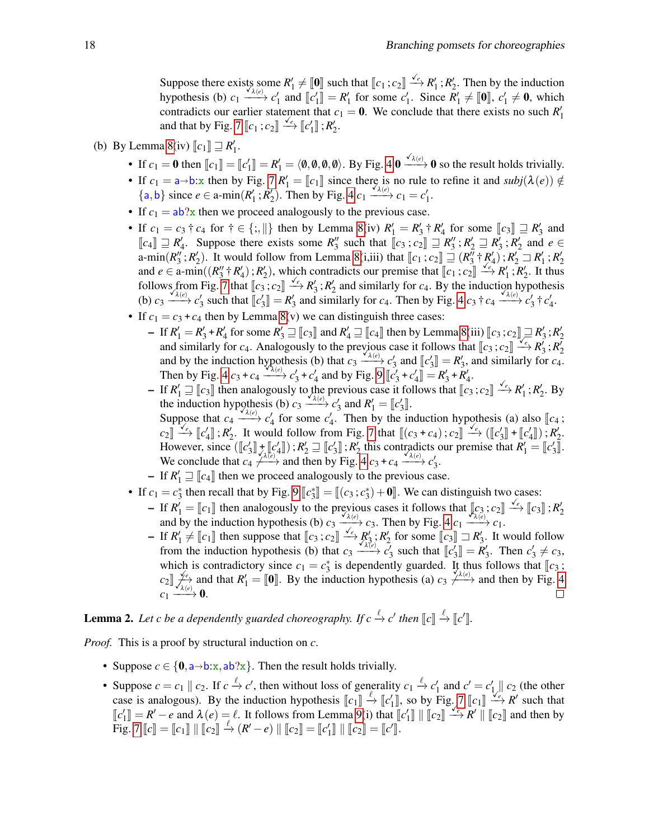Suppose there exists some  $R'_1 \neq [\![\mathbf{0}]\!]$  such that  $[\![c_1;c_2]\!] \xrightarrow{\checkmark} R'_1; R'_2$ . Then by the induction by the induction hypothesis (b)  $c_1 \xrightarrow{\chi_{\lambda}(e)} c'_1$  and  $[[c'_1]] = R'_1$  for some  $c'_1$ . Since  $R'_1 \neq [0]$ ,  $c'_1 \neq 0$ , which<br>controllets our ordig statement that  $e_1 = 0$ . We conclude that there exists no such  $P'_1$ . contradicts our earlier statement that  $c_1 = 0$ . We conclude that there exists no such  $R'_1$ and that by Fig. [7](#page-8-0)  $\llbracket c_1; c_2 \rrbracket \stackrel{\checkmark_e}{\longrightarrow} \llbracket c'_1 \rrbracket$  ;  $R'_2$ .

- (b) By Lemma [8\(](#page-21-0)iv)  $\llbracket c_1 \rrbracket \sqsupseteq R'_1$ .
	- If  $c_1 = \mathbf{0}$  then  $\llbracket c_1 \rrbracket = \llbracket c'_1 \rrbracket = R'_1 = \langle \mathbf{0}, \mathbf{0}, \mathbf{0}, \mathbf{0} \rangle$ . By Fig. [4](#page-4-0)  $\mathbf{0} \xrightarrow{\checkmark_{\lambda(e)}} \mathbf{0}$  so the result holds trivially.
	- If  $c_1 = a \rightarrow b$ : x then by Fig. [7](#page-8-0)  $R'_1 = [c_1]$  since there is no rule to refine it and  $\text{subj}(\lambda(e)) \notin$  ${a,b}$  since  $e \in \text{a-min}(R'_1; R'_2)$ . Then by Fig. [4](#page-4-0)  $c_1 \xrightarrow{\check{a}_{\lambda(e)}} c_1 = c'_1$ .
	- If  $c_1 = ab$ ?x then we proceed analogously to the previous case.
	- If  $c_1 = c_3 \dagger c_4$  for  $\dagger \in \{\, ; ,\, \}\}$  then by Lemma [8\(](#page-21-0)iv)  $R'_1 = R'_3 \dagger R'_4$  for some  $\llbracket c_3 \rrbracket \sqsupseteq R'_3$  and  $\llbracket c_3 \rrbracket \sqsupseteq R'_1$ . Suppose there exists some  $R''$  such that  $\llbracket a, a \rrbracket \sqsupseteq R' \cup R' \sqsupseteq R'$  and  $a \in R$  $\llbracket c_4 \rrbracket \supseteq R'_4$ . Suppose there exists some  $R''_3$  such that  $\llbracket c_3; c_2 \rrbracket \supseteq R''_3; R'_2 \supseteq R'_3; R'_2$  and  $e \in$ <br>a min(*P''* · *P'*) It would follow from I amma *9(i* iii) that  $\llbracket a$  ·  $e \rrbracket \supseteq R'' + P'$ ) · *P'*  $\supseteq$  $\lim_{x \to a} \left(R''_3; R'_2\right)$ . It would follow from Lemma [8\(](#page-21-0)i,iii) that  $\left[\c{c_1; c_2}\right] \equiv \left(R''_3 \dagger R'_4\right); R'_2 \equiv R'_1; R'_2$ <br>and  $\sin \left(\left(P'' + P'\right) \cdot P'\right)$ , which contradicts our promise that  $\left[\c{c_3; a_1}\right] \leq \c{c_2}$ ,  $P'_1 \cdot P'_2$ , It th and *e* ∈ a-min( $(R_3'' \nmid R_4' ; R_2'$ ), which contradicts our premise that  $[[c_1;c_2]] \xrightarrow{\epsilon} R_1'; R_2'$ . It thus follows from Eig. 7 that  $[[c_1;c_2]] \xrightarrow{\epsilon} R_1'$  ;  $R_2'$ . It thus follows from Fig. [7](#page-8-0) that  $\llbracket c_3; c_2 \rrbracket \xrightarrow{\checkmark} R'_3; R'_2$  and similarly for *c<sub>4</sub>*. By the induction hypothesis (b)  $\alpha$ ,  $\chi^{\chi^2(e)}$ ,  $\alpha'$  and the  $\llbracket \alpha' \rrbracket = R'_1$  and similarly for  $\alpha$ . Then by Fig. 4,  $\alpha$ ,  $\star \alpha$ , (b)  $c_3 \xrightarrow{\chi_{\lambda(e)}} c'_3$  such that  $[[c'_3]] = R'_3$  and similarly for  $c_4$ . Then by Fig. [4](#page-4-0)  $c_3 \dagger c_4 \xrightarrow{\chi_{\lambda(e)}} c'_3 \dagger c'_4$ .
	- If  $c_1 = c_3 + c_4$  then by Lemma [8\(](#page-21-0)v) we can distinguish three cases:
		- $-$  If  $R'_1 = R'_3 + R'_4$  for some  $R'_3 \sqsupseteq [c_3]$  and  $R'_4 \sqsupseteq [c_4]$  then by Lemma [8\(](#page-21-0)iii)  $[c_3; c_2] \sqsupseteq R'_3; R'_2$ <br>and cimilarly for  $c_4$ . Analogously to the provisive associated by the formal  $\ell_3$ ,  $c_4$ ,  $R'_4$ ,  $R'_5$ , and similarly for *c*<sub>4</sub>. Analogously to the previous case it follows that  $\llbracket c_3; c_2 \rrbracket \stackrel{\sim}{\longrightarrow} R'_3; R'_2$ <br>and by the induction hypothesis (b) that  $c_1 \stackrel{\lambda(e)}{\longrightarrow} c'_1$  and  $\llbracket c'_1 \rrbracket = R'_1$  and similarly for  $c_2$ and by the induction hypothesis (b) that  $c_3 \xrightarrow{\lambda(e)} c'_3$  and  $[[c'_3]] = R'_3$ , and similarly for  $c_4$ .<br>Then by Eig. *A*  $c_4$ ,  $c_5 \xrightarrow{\lambda(e)} c'_4$ , and by Eig. 0  $[[c'_4]] = B'_1 + B'_2$ . Then by Fig. [4](#page-4-0)  $c_3 + c_4 \xrightarrow{\sqrt{\lambda(e)}} c'_3 + c'_4$  and by Fig. [9](#page-10-0)  $\llbracket c'_3 + c'_4 \rrbracket = R'_3 + R'_4$ .
		- If  $R'_1 \sqsupseteq [c_3]$  then analogously to the previous case it follows that  $[c_3;c_2] \xrightarrow{c_e} R'_1; R'_2$ . By the induction hypothesis (b)  $c_1 \xrightarrow{c_{\ell}} c'$  and  $B' = \lceil c' \rceil$ the induction hypothesis (b)  $c_3 \xrightarrow{\chi_{\ell}} c'_3$  and  $R'_1 = [c'_3]$ .<br>
		Suppose that  $c_4 \xrightarrow{\chi_{\ell}} c'_2$  for some  $c'_4$ . Then by the in Suppose that  $c_4 \xrightarrow{\chi_{\lambda(e)}} c'_4$  for some  $c'_4$ . Then by the induction hypothesis (a) also  $[[c_4; c_4, \dots, c_k]] \xrightarrow{\chi_{e}} [[c_4, \dots, c_k]] \xrightarrow{\chi_{e}} [[c_4, \dots, c_k]] \xrightarrow{\chi_{e}} [[c_4, \dots, c_k]] \xrightarrow{\chi_{e}} [[c_4, \dots, c_k]] \xrightarrow{\chi_{e}} [[c_4, \dots, c_k]] \xrightarrow{\chi_{e}} [[c_4, \dots, c_k]] \$  $c_2$   $\parallel$   $\stackrel{\checkmark}{\rightarrow}$   $\parallel$   $c'_4$   $\parallel$ ;  $R'_2$ . It would follow from Fig. [7](#page-8-0) that  $\parallel$   $(c_3 + c_4)$ ;  $c_2$   $\parallel$   $\stackrel{\checkmark}{\rightarrow}$   $\parallel$   $(c'_3$   $\parallel$  +  $\parallel$   $(c'_4)$   $\parallel$  ;  $R'_2$ . However, since  $([\![c'_3]\!] + [\![c'_4]\!]$ ;  $R'_2 \sqsupseteq [\![c'_3]\!]$ ;  $R'_2$  this contradicts our premise that  $R'_1 = [\![c'_3]\!]$ . The conclude that  $c_4 \nleftrightarrow$  and then by Fig. [4](#page-4-0)  $c_3 + c_4 \xrightarrow{\sqrt{\lambda(e)}} c'_3$ .
		- − If  $R'_1 \sqsupseteq [c_4]$  then we proceed analogously to the previous case.
	- If  $c_1 = c_3^*$  then recall that by Fig. [9](#page-10-0)  $\llbracket c_3^* \rrbracket = \llbracket (c_3; c_3^*) + \mathbf{0} \rrbracket$ . We can distinguish two cases:
		- $\mathbf{F} = \begin{bmatrix} \mathbf{r} \\ \mathbf{r} \end{bmatrix}$  then analogously to the previous cases it follows that  $\begin{bmatrix} \mathbf{r}_3 \\ \mathbf{r}_2 \end{bmatrix}$   $\mathbf{r}_2 \mathbf{r}_1 + \mathbf{r}_2 = \begin{bmatrix} \mathbf{r}_1 \\ \mathbf{r}_2 \end{bmatrix}$   $\mathbf{r}_1 + \mathbf{r}_2 = \begin{bmatrix} \mathbf{r}_1 \\ \mathbf{r}_2 \end{bmatrix}$   $\Lambda_1 = \llbracket c_1 \rrbracket$  then analogously to the previous cases it follows that  $\llbracket c_2 \rrbracket$  *c*<sub>2</sub>.  $c_2 \rrbracket$  and by the induction hypothesis (b)  $c_3 \xrightarrow{\sim} c_3$ . Then by Fig. [4](#page-4-0)  $c_1 \xrightarrow{\sim} c_1$ .
		- $\begin{aligned} \n\text{Let } R_1' \neq \llbracket c_1 \rrbracket \text{ then suppose that } \llbracket c_3; c_2 \rrbracket \xrightarrow{\checkmark} R_3'; R_2' \text{ for some } \llbracket c_3 \rrbracket \xrightarrow{\checkmark} R_3'. \text{ It would follow from the induction hypothesis (b) that } c_1 \downarrow c_2' \text{ such that } \llbracket c_1 \rrbracket = P_1' \text{ Then } e_2' \neq c_1. \n\end{aligned}$ from the induction hypothesis (b) that  $c_3 \xrightarrow{X_1} c_2'$  for some  $\llbracket c_3 \rrbracket \rightrightarrows R_3$ . Then  $c_3' \neq c_3$ ,<br>from the induction hypothesis (b) that  $c_3 \xrightarrow{X_1c_2} c_3'$  such that  $\llbracket c_3' \rrbracket = R_3'$ . Then  $c_3' \neq c_3$ , from the induction hypothesis (b) that  $c_3 \xrightarrow{A(e)} c'_3$  such that  $[[c'_3]] = R'_3$ . Then  $c'_3 \neq c_3$ , which is contradictory since  $c_1 = c_3^*$  is dependently guarded. It thus follows that  $[[c_3]]$ ; which is contradictory since  $c_1 = c_3$  is dependently guarded. It this follows that  $\|c_3$ ,<br>  $c_2 \leq \int_{\lambda(e)}^{\sqrt{e}}$  and that  $R'_1 = [\![\mathbf{0}]\!]$ . By the induction hypothesis (a)  $c_3 \neq \lambda(e)$  and then by Fig. [4](#page-4-0)  $c_1 \xrightarrow{\mathcal{L}_{\lambda(e)}} 0.$

**Lemma 2.** Let c be a dependently guarded choreography. If  $c \xrightarrow{\ell} c'$  then  $[[c]] \xrightarrow{\ell} [[c']]$ .

*Proof.* This is a proof by structural induction on *c*.

- Suppose  $c \in \{0, a\rightarrow b:x, ab?x\}$ . Then the result holds trivially.
- Suppose  $c = c_1 \parallel c_2$ . If  $c \stackrel{\ell}{\to} c'$ , then without loss of generality  $c_1 \stackrel{\ell}{\to} c'_1$  and  $c' = c'_1 \parallel c_2$  (the other case is analogous). By the induction hypothesis  $\llbracket c_1 \rrbracket \xrightarrow{\ell} \llbracket c'_1 \rrbracket$ , so by Fig. [7](#page-8-0)  $\llbracket c_1 \rrbracket \xrightarrow{\ell} R'$  such that  $\llbracket \ll \llbracket a \rrbracket = P'$  and  $\lambda(a) = \ell$ . It follows from Lamma Q(i) that  $\llbracket c'_1 \rrbracket + \llbracket a \rrbracket \times \llbracket$  $\llbracket c'_1 \rrbracket = R' - e$  and  $\lambda(e) = \ell$ . It follows from Lemma [9\(](#page-22-0)i) that  $\llbracket c'_1 \rrbracket \parallel \llbracket c_2 \rrbracket \xrightarrow{e} R' \parallel \llbracket c_2 \rrbracket$  and then by  $\text{Fig. 7 } [c] = [c_1] \parallel [c_2] \stackrel{\ell}{\rightarrow} (R' - e) \parallel [c_2] = [c'] \parallel [c_2] = [c']$  $\text{Fig. 7 } [c] = [c_1] \parallel [c_2] \stackrel{\ell}{\rightarrow} (R' - e) \parallel [c_2] = [c'] \parallel [c_2] = [c']$  $\text{Fig. 7 } [c] = [c_1] \parallel [c_2] \stackrel{\ell}{\rightarrow} (R' - e) \parallel [c_2] = [c'] \parallel [c_2] = [c']$ .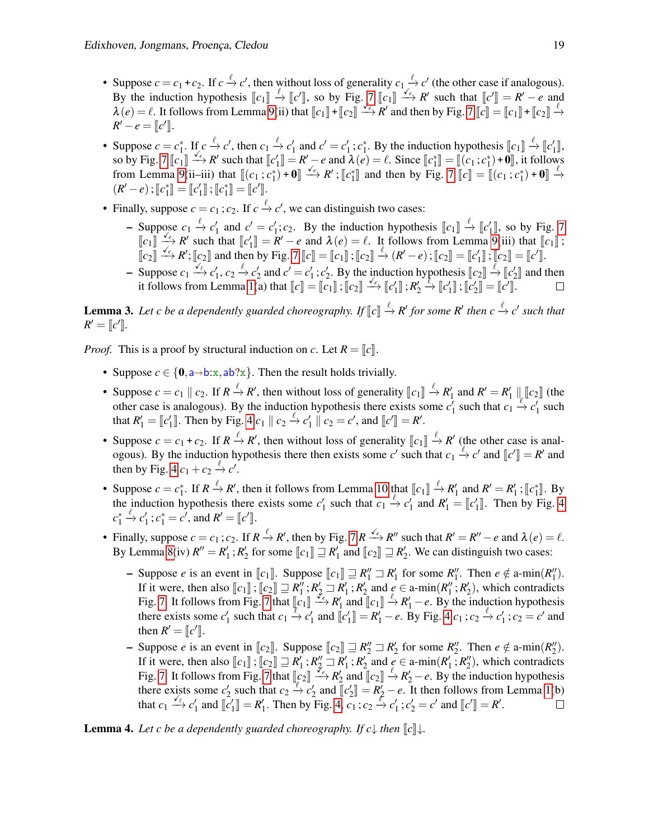- Suppose  $c = c_1 + c_2$ . If  $c \xrightarrow{\ell} c'$ , then without loss of generality  $c_1 \xrightarrow{\ell} c'$  (the other case if analogous). By the induction hypothesis  $[\![c_1]\!] \xrightarrow{\ell} [\![c']\!]$ , so by Fig. [7](#page-8-0)  $[\![c_1]\!] \xrightarrow{\ell} R'$  such that  $[\![c']\!] = R' - e$  and  $\lambda(e) = \ell$ . It follows from Lamma  $\Omega(i)$  that  $[\![c_1]\!] + [\![c_2]\!] \xrightarrow{\ell} R'$  and than by Fig. 7  $[\![c_1]\!] = [\![c_2]\!] + [\![c_$  $\lambda$ (*e*) =  $\ell$ . It follows from Lemma [9\(](#page-22-0)ii) that  $\llbracket c_1 \rrbracket + \llbracket c_2 \rrbracket \xrightarrow{\ell_e} R'$  and then by Fig. [7](#page-8-0)  $\llbracket c \rrbracket = \llbracket c_1 \rrbracket + \llbracket c_2 \rrbracket \xrightarrow{\ell_e} R'$  $R' - e = [c']$ .
- Suppose  $c = c_1^*$ . If  $c \xrightarrow{\ell} c'$ , then  $c_1 \xrightarrow{\ell} c'_1$  and  $c' = c'_1$ ;  $c_1^*$ . By the induction hypothesis  $[[c_1]] \xrightarrow{\ell} [[c'_1]]$ ,<br>  $\infty$  by Fig. 7  $[[c_1]] \xrightarrow{\ell} [c'_2]$ , please that  $[[c'_1]] [c'_2]$  and  $[(c_1) \xrightarrow{\ell} [c_1]$ . Since so by Fig. [7](#page-8-0)  $\llbracket c_1 \rrbracket \xrightarrow{f_e} R'$  such that  $\llbracket c'_1 \rrbracket = R' - e$  and  $\lambda(e) = \ell$ . Since  $\llbracket c_1^* \rrbracket = \llbracket (c_1; c_1^*) + \mathbf{0} \rrbracket$ , it follows<br>from Lamma  $\Omega(i; i; i; \lambda)$  that  $\llbracket (c_1; c_1^*) + \mathbf{0} \rrbracket \xrightarrow{f_e} P' \cdot \llbracket c_1^* \rrbracket$  $\begin{array}{l}\n\text{so by Fig. 7 } \llbracket c_1 \rrbracket \longrightarrow K \text{ such that } \llbracket c_1 \rrbracket = K \longrightarrow e \text{ and } \mathcal{X}(e) = \ell. \text{ Since } \llbracket c_1 \rrbracket = \llbracket (c_1 \cdot c_1^*) + \mathbf{0} \rrbracket \longrightarrow K \text{ from Lemma 9(ii–iii) that } \llbracket (c_1 \cdot c_1^*) + \mathbf{0} \rrbracket \longrightarrow e \text{ and then by Fig. 7 } \llbracket c \rrbracket = \llbracket (c_1 \cdot c_1^*) + \mathbf{0} \rrbracket \longrightarrow e \text{ and then by Fig. 7$  $\begin{array}{l}\n\text{so by Fig. 7 } \llbracket c_1 \rrbracket \longrightarrow K \text{ such that } \llbracket c_1 \rrbracket = K \longrightarrow e \text{ and } \mathcal{X}(e) = \ell. \text{ Since } \llbracket c_1 \rrbracket = \llbracket (c_1 \cdot c_1^*) + \mathbf{0} \rrbracket \longrightarrow K \text{ from Lemma 9(ii–iii) that } \llbracket (c_1 \cdot c_1^*) + \mathbf{0} \rrbracket \longrightarrow e \text{ and then by Fig. 7 } \llbracket c \rrbracket = \llbracket (c_1 \cdot c_1^*) + \mathbf{0} \rrbracket \longrightarrow e \text{ and then by Fig. 7$  $\begin{array}{l}\n\text{so by Fig. 7 } \llbracket c_1 \rrbracket \longrightarrow K \text{ such that } \llbracket c_1 \rrbracket = K \longrightarrow e \text{ and } \mathcal{X}(e) = \ell. \text{ Since } \llbracket c_1 \rrbracket = \llbracket (c_1 \cdot c_1^*) + \mathbf{0} \rrbracket \longrightarrow K \text{ from Lemma 9(ii–iii) that } \llbracket (c_1 \cdot c_1^*) + \mathbf{0} \rrbracket \longrightarrow e \text{ and then by Fig. 7 } \llbracket c \rrbracket = \llbracket (c_1 \cdot c_1^*) + \mathbf{0} \rrbracket \longrightarrow e \text{ and then by Fig. 7$  $\begin{array}{l}\n\text{so by Fig. 7 } \llbracket c_1 \rrbracket \longrightarrow K \text{ such that } \llbracket c_1 \rrbracket = K \longrightarrow e \text{ and } \mathcal{X}(e) = \ell. \text{ Since } \llbracket c_1 \rrbracket = \llbracket (c_1 \cdot c_1^*) + \mathbf{0} \rrbracket \longrightarrow K \text{ from Lemma 9(ii–iii) that } \llbracket (c_1 \cdot c_1^*) + \mathbf{0} \rrbracket \longrightarrow e \text{ and then by Fig. 7 } \llbracket c \rrbracket = \llbracket (c_1 \cdot c_1^*) + \mathbf{0} \rrbracket \longrightarrow e \text{ and then by Fig. 7$  $\begin{array}{l}\n\text{so by Fig. 7 } \llbracket c_1 \rrbracket \longrightarrow K \text{ such that } \llbracket c_1 \rrbracket = K \longrightarrow e \text{ and } \mathcal{X}(e) = \ell. \text{ Since } \llbracket c_1 \rrbracket = \llbracket (c_1 \cdot c_1^*) + \mathbf{0} \rrbracket \longrightarrow K \text{ from Lemma 9(ii–iii) that } \llbracket (c_1 \cdot c_1^*) + \mathbf{0} \rrbracket \longrightarrow e \text{ and then by Fig. 7 } \llbracket c \rrbracket = \llbracket (c_1 \cdot c_1^*) + \mathbf{0} \rrbracket \longrightarrow e \text{ and then by Fig. 7$  $(R'-e)$ ;  $[\![c_1^*]\!] = [\![c_1']\!]$ ;  $[\![c_1^*]\!] = [\![c']\!]$ .
- Finally, suppose  $c = c_1$ ;  $c_2$ . If  $c \stackrel{\ell}{\rightarrow} c'$ , we can distinguish two cases:
	- − Suppose  $c_1 \stackrel{\ell}{\rightarrow} c'_1$  and  $c' = c'_1$ ;  $c_2$ . By the induction hypothesis  $[[c_1]] \stackrel{\ell}{\rightarrow} [[c'_1]]$ , so by Fig. [7](#page-8-0)<br>  $[[c_1]] \stackrel{\ell}{\rightarrow} [[c']]$ , so by Fig. 7  $\mathbb{F}_{e_1} \rightarrow \mathbb{F}_{e_2} \rightarrow \mathbb{F}_{e_3}$  and that  $\mathbb{F}_{e_1} = \mathbb{F}' - e$  and  $\lambda(e) = e$ . It follows from Lemma [9\(](#page-22-0)iii) that  $\mathbb{F}_{e_1} \rightarrow \mathbb{F}_{e_2}$   $\mathbb{F}_{e_3} \rightarrow \mathbb{F}_{e_4} \rightarrow \mathbb{F}_{e_5}$  and then by Eig 7  $\mathbb{F}_{e_1} \rightarrow \mathbb{F}_{e_2} \rightarrow$ 1  $\llbracket c_2 \rrbracket \xrightarrow{\checkmark} R'; \llbracket c_2 \rrbracket$  and then by Fig. [7](#page-8-0)  $\llbracket c \rrbracket = \llbracket c_1 \rrbracket : \llbracket c_2 \rrbracket \xrightarrow{\ell} (R'-e) : \llbracket c_2 \rrbracket = \llbracket c'_1 \rrbracket : \llbracket c_2 \rrbracket = \llbracket c'_1 \rrbracket : \llbracket c_2 \rrbracket = \llbracket c'_1 \rrbracket : \llbracket c'_2 \rrbracket = \llbracket c'_1 \rrbracket : \llbracket c'_2 \rrbracket = \llbracket c'_1 \rrbracket$
	- Suppose  $c_1 \xrightarrow{\ell} c'_1$ ,  $c_2 \xrightarrow{\ell} c'_2$  and  $c' = c'_1$ ;  $c'_2$ . By the induction hypothesis  $\llbracket c_2 \rrbracket \xrightarrow{\ell} \llbracket c'_2 \rrbracket$  and then<br>it follows from Lamma 1(a) that  $\llbracket a \rrbracket = \llbracket a \rrbracket \cdot \llbracket a \rrbracket \times \llbracket c' \rrbracket \cdot \llbracket c' \rrbracket \cdot \$ it follows from Lemma [1\(](#page-11-1)a) that  $\llbracket c \rrbracket = \llbracket c_1 \rrbracket$ ;  $\llbracket c_2 \rrbracket \stackrel{\checkmark_e}{\longrightarrow} \llbracket c'_1 \rrbracket$ ;  $R'_2$  $\stackrel{\ell}{\leftrightarrow} [\![c_1']\!] ; [\![c_2']\!] = [\![c']\!]$ .

**Lemma 3.** Let c be a dependently guarded choreography. If  $\llbracket c \rrbracket \xrightarrow{\ell} R'$  for some  $R'$  then  $c \xrightarrow{\ell} c'$  such that  $P' = \llbracket c' \rrbracket$  $R' = [c']$ .

*Proof.* This is a proof by structural induction on *c*. Let  $R = \lbrack c \rbrack$ .

- Suppose  $c \in \{0, a\rightarrow b:x, ab?x\}$ . Then the result holds trivially.
- Suppose  $c = c_1 || c_2$ . If  $R \stackrel{\ell}{\rightarrow} R'$ , then without loss of generality  $[[c_1]] \stackrel{\ell}{\rightarrow} R'_1$  and  $R' = R'_1 || [[c_2]]$  (the other case is analogous). By the induction hypothesis there exists some  $c'_1$  such that  $c_1$ ,  $c'_2$  su other case is analogous). By the induction hypothesis there exists some  $c_1^{\prime}$  such that  $c_1 \stackrel{\text{def}}{\rightarrow} c_1^{\prime}$  such that  $R'_1 = [c'_1]$ . Then by Fig. [4](#page-4-0)  $c_1 \parallel c_2 \stackrel{\ell}{\to} c'_1 \parallel c_2 = c'$ , and  $[[c']] = R'$ .
- Suppose  $c = c_1 + c_2$ . If  $R \stackrel{\ell}{\rightarrow} R'$ , then without loss of generality  $\llbracket c_1 \rrbracket \stackrel{\ell}{\rightarrow} R'$  (the other case is anal-<br>caseus). By the induction hypothesis there then exists some c' such that  $c_1 \stackrel{\ell}{\rightarrow} c'$  and  $\ll$ ogous). By the induction hypothesis there then exists some *c'* such that  $c_1 \xrightarrow{\ell} c'$  and  $[[c']] = R'$  and then by Fig. 4.0,  $||c||^2 \searrow c'$ then by Fig. [4](#page-4-0)  $c_1 + c_2 \xrightarrow{\ell} c'$ .
- Suppose  $c = c_1^*$ . If  $R \xrightarrow{\ell} R'$ , then it follows from Lemma [10](#page-22-1) that  $[[c_1]] \xrightarrow{\ell} R'_1$  and  $R' = R'_1$ ;  $[[c_1^*]]$ . By the induction hypothesis there exists some  $c'_1$  such that  $c_1 \xrightarrow{\ell} c'_1$  and  $R'_1 = [c'_1]$ . Then by Fig. [4](#page-4-0) *c* ∗ 1  $\stackrel{\ell}{\rightarrow} c_1'; c_1^* = c', \text{ and } R' = [\![c']\!]$ .
- Finally, suppose  $c = c_1$ ;  $c_2$ . If  $R \xrightarrow{\ell} R'$ , then by Fig. [7](#page-8-0)  $R \xrightarrow{\checkmark_{e}} R''$  such that  $R' = R'' e$  and  $\lambda(e) = \ell$ . By Lemma [8\(](#page-21-0)iv)  $R'' = R'_1$ ;  $R'_2$  for some  $[[c_1]] \sqsupseteq R'_1$  and  $[[c_2]] \sqsupseteq R'_2$ . We can distinguish two cases:
	- Suppose *<sup>e</sup>* is an event in <sup>J</sup>*c*1K. Suppose <sup>J</sup>*c*1<sup>K</sup> <sup>⊒</sup> *<sup>R</sup>* ′′ <sup>1</sup> <sup>⊐</sup> *<sup>R</sup>* ′ 1 for some *R* ′′ 1 . Then *e* ∈/ a-min(*R* ′′ 1 ). If it were, then also  $[\![c_1]\!]$ ;  $[\![c_2]\!] \supseteq R''$ ;  $R'_2 \supseteq R'_1$ ;  $R'_2$  and  $e \in \text{a-min}(R''_1; R'_2)$ , which contradicts  $\text{Eiz } \mathcal{I}$  that  $[\![c_2]\!] \supseteq R''$ ,  $R'_1$  and  $[\![c_3]\!]$ ,  $R'_2$  and  $[\![c_4]\!]$ ,  $R'_1$  and  $[\![c_5]\!]$ ,  $R'_2$  a Fig. [7.](#page-8-0) It follows from Fig. [7](#page-8-0) that  $[\![c_1]\!] \xrightarrow{\phi} R'_1$  and  $[\![c_1]\!] \xrightarrow{\phi} R'_1 - e$ . By the induction hypothesis there exists some  $e'$  and the test  $e'$  and  $[\![c_1]\!] \xrightarrow{\phi} R'_1 - e$ . By the induction hypothesis there exists some there exists some  $c'_1$  such that  $c_1 \stackrel{\psi}{\rightarrow} c'_1$  and  $\llbracket c'_1 \rrbracket = R'_1 - e$ . By Fig. [4](#page-4-0)  $c_1$ ;  $c_2 \stackrel{\ell}{\rightarrow} c'_1$ ;  $c_2 = c'$  and then  $R' = [c']$ .
	- Suppose *e* is an event in  $\llbracket c_2 \rrbracket$ . Suppose  $\llbracket c_2 \rrbracket \Rightarrow R'_2 \Rightarrow R'_2$  for some  $R''_2$ . Then *e* ∉ a-min( $R''_2$ ).<br>If it were then also  $\llbracket a \rrbracket \Rightarrow R'_1 \cdot R'_2$  and  $a \in a$  min( $R'_1 \cdot R''_2$ ), which contradicts If it were, then also  $[\![c_1]\!]$ ;  $[\![c_2]\!] \sqsupseteq R'_1$ ;  $R''_2 \sqsupseteq R'_1$ ;  $R''_2$  and  $e \in \text{a-min}(R'_1; R''_2)$ , which contradicts<br>Fig. 7. It follows from Fig. 7 that  $[\![a_1]\!] \times_{e_1}^{\infty} P'_1$  and  $[\![a_n]\!] \overset{\ell_1}{\longrightarrow} P'_1$  as By the indu Fig. [7.](#page-8-0) It follows from Fig. [7](#page-8-0) that  $\llbracket c_2 \rrbracket \xrightarrow{\prec} R'_2$  and  $\llbracket c_2 \rrbracket \xrightarrow{\ell} R'_2 - e$ . By the induction hypothesis there exists some of such that  $e_1, e_2, e_3$  and  $\llbracket c_2 \rrbracket \xrightarrow{\ell} R'_2 - e$ . By the induction hypothesis t there exists some  $c'_2$  such that  $c_2 \stackrel{\psi}{\rightarrow} c'_2$  and  $\left[ c'_2 \right] = R'_2 - e$ . It then follows from Lemma [1\(](#page-11-1)b) that  $c_1 \xrightarrow{\sqrt{\ell}} c'_1$  and  $[[c'_1]] = R'_1$ . Then by Fig. [4,](#page-4-0)  $c_1$ ;  $c_2 \xrightarrow{\ell} c'_1$ ;  $c'_2 = c'$  and  $[[c']] = R'$ .  $\Box$

**Lemma 4.** Let c be a dependently guarded choreography. If  $c \downarrow$  then  $\llbracket c \rrbracket \downarrow$ .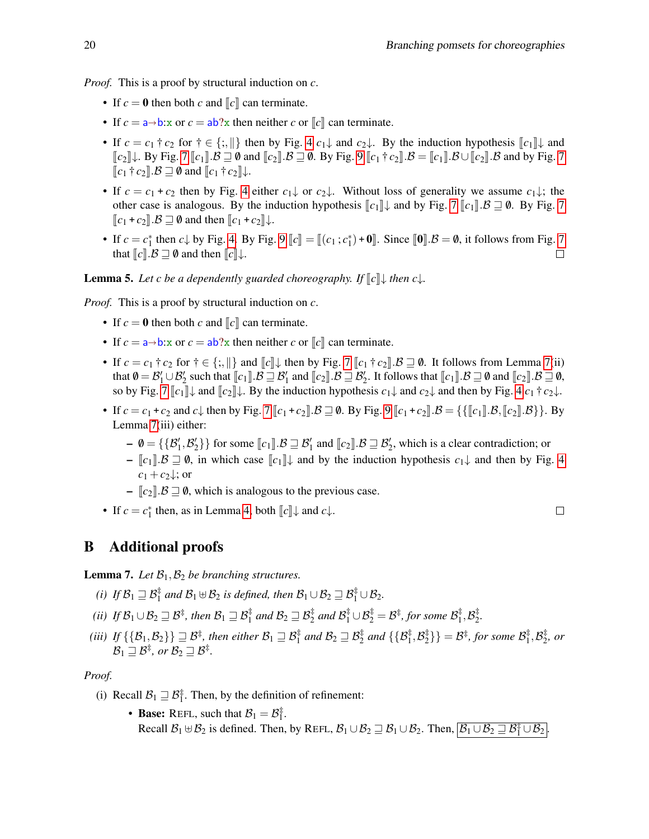*Proof.* This is a proof by structural induction on *c*.

- If  $c = 0$  then both *c* and  $\llbracket c \rrbracket$  can terminate.
- If  $c = a \rightarrow b$ : x or  $c = ab$ ? x then neither *c* or  $\llbracket c \rrbracket$  can terminate.
- If  $c = c_1 \uparrow c_2$  for  $\uparrow \in \{\cdot, \cdot\}$  then by Fig. [4](#page-4-0)  $c_1 \downarrow$  and  $c_2 \downarrow$ . By the induction hypothesis  $\llbracket c_1 \rrbracket \downarrow$  and  $\llbracket c_2 \rrbracket \downarrow$ . By Fig. [7](#page-8-0)  $\llbracket c_1 \rrbracket \cdot \mathcal{B} \sqsupseteq \emptyset$  and  $\llbracket c_2 \rrbracket \cdot \mathcal{B} \sqsupseteq \emptyset$ . By Fig. [9](#page-10-0)  $\llbracket c_1 \dagger c_2 \rrbracket \cdot \mathcal{B} = \llbracket c_1 \rrbracket \cdot \mathcal{B} \cup \llbracket c_2 \rrbracket \cdot \mathcal{B}$  and by Fig. 7  $\llbracket c_1 \dagger c_2 \rrbracket \cdot \mathcal{B} \sqsupseteq \emptyset$  and  $\llbracket c_1 \dagger c_2 \rrbracket \downarrow$ .
- If  $c = c_1 + c_2$  then by Fig. [4](#page-4-0) either  $c_1 \downarrow$  or  $c_2 \downarrow$ . Without loss of generality we assume  $c_1 \downarrow$ ; the other case is analogous. By the induction hypothesis  $\llbracket c_1 \rrbracket \downarrow$  and by Fig. [7](#page-8-0)  $\llbracket c_1 \rrbracket \cdot \mathcal{B} \sqsupseteq \emptyset$ . By Fig. 7  $\llbracket c_1 + c_2 \rrbracket \cdot \mathcal{B} \sqsupseteq \emptyset$  and then  $\llbracket c_1 + c_2 \rrbracket \downarrow$ .
- If  $c = c_1^*$  then  $c \downarrow$  by Fig. [4.](#page-4-0) By Fig. [9](#page-10-0)  $[[c]] = [[(c_1; c_1^*) + 0]].$  Since  $[[0]].$  B = 0, it follows from Fig. [7](#page-8-0) that  $[[c]]$  B  $\Box$  0, and then  $[[d]]$  B  $\Box$ that  $\llbracket c \rrbracket \cdot \mathcal{B} \sqsupseteq \emptyset$  and then  $\llbracket c \rrbracket \downarrow$ .

#### **Lemma 5.** Let c be a dependently guarded choreography. If  $\llbracket c \rrbracket$  then  $c \downarrow$ .

*Proof.* This is a proof by structural induction on *c*.

- If  $c = 0$  then both  $c$  and  $\llbracket c \rrbracket$  can terminate.
- If  $c = a \rightarrow b$ : x or  $c = ab$ ? x then neither *c* or  $\llbracket c \rrbracket$  can terminate.
- If  $c = c_1 \dagger c_2$  for  $\dagger \in \{\,;\,\,\|\}$  and  $\|c\| \downarrow$  then by Fig. [7](#page-8-0)  $\|c_1 \dagger c_2\| \cdot \mathcal{B} \sqsupseteq \emptyset$ . It follows from Lemma [7\(](#page-19-0)ii) that  $\emptyset = \mathcal{B}'_1 \cup \mathcal{B}'_2$  such that  $[\![c_1]\!]$ .  $\mathcal{B} \sqsupseteq \mathcal{B}'_1$  and  $[\![c_2]\!]$ .  $\mathcal{B} \sqsupseteq \mathcal{B}'_2$ . It follows that  $[\![c_1]\!]$ .  $\mathcal{B} \sqsupseteq \emptyset$  and  $[\![c_2]\!]$ .  $\mathcal{B} \sqsupseteq \emptyset$ ,  $\emptyset$  and  $[\![c_2]\!]$ .  $\mathcal{B} \sqsupseteq$ so by Fig. [7](#page-8-0)  $\llbracket c_1 \rrbracket \downarrow$  and  $\llbracket c_2 \rrbracket \downarrow$ . By the induction hypothesis  $c_1 \downarrow$  and  $c_2 \downarrow$  and then by Fig. [4](#page-4-0)  $c_1 \uparrow c_2 \downarrow$ .
- If  $c = c_1 + c_2$  and  $c \downarrow$  then by Fig. [7](#page-8-0)  $\llbracket c_1 + c_2 \rrbracket \cdot \mathcal{B} = \{ \llbracket c_1 + c_2 \rrbracket \cdot \mathcal{B} = \{ \llbracket c_1 \rrbracket \cdot \mathcal{B}, \llbracket c_2 \rrbracket \cdot \mathcal{B} \} \}$ . By Lemma [7\(](#page-19-0)iii) either:
	- $\emptyset = \{\{\mathcal{B}'_1, \mathcal{B}'_2\}\}\$ for some  $[\![c_1]\!], \mathcal{B} \sqsupseteq \mathcal{B}'_1$  and  $[\![c_2]\!], \mathcal{B} \sqsupseteq \mathcal{B}'_2$ , which is a clear contradiction; or
	- $-I[c_1\].\mathcal{B} \supseteq \emptyset$ , in which case  $\llbracket c_1 \rrbracket$  and by the induction hypothesis  $c_1\downarrow$  and then by Fig. [4](#page-4-0)  $c_1 + c_2 \downarrow$ ; or
	- $-I [c_2]$  *B* ⊇ 0, which is analogous to the previous case.
- If  $c = c_1^*$  then, as in Lemma [4,](#page-12-2) both  $\llbracket c \rrbracket \downarrow$  and  $c \downarrow$ .

# B Additional proofs

<span id="page-19-0"></span>**Lemma 7.** Let  $\mathcal{B}_1, \mathcal{B}_2$  be branching structures.

- *(i) If*  $\mathcal{B}_1 \sqsupseteq \mathcal{B}_1^{\ddagger}$  *and*  $\mathcal{B}_1 \uplus \mathcal{B}_2$  *is defined, then*  $\mathcal{B}_1 \cup \mathcal{B}_2 \sqsupseteq \mathcal{B}_1^{\ddagger} \cup \mathcal{B}_2$ *.*
- (*ii*) If  $\mathcal{B}_1 \cup \mathcal{B}_2 \sqsupseteq \mathcal{B}^{\ddagger}$ , then  $\mathcal{B}_1 \sqsupseteq \mathcal{B}^{\ddagger}_1$  and  $\mathcal{B}_2 \sqsupseteq \mathcal{B}^{\ddagger}_2$  and  $\mathcal{B}^{\ddagger}_1 \cup \mathcal{B}^{\ddagger}_2 = \mathcal{B}^{\ddagger}$ , for some  $\mathcal{B}^{\ddagger}_1$  $_1^{\ddag},\mathcal{B}_2^{\ddag}$ 2 *.*
- (iii) If  $\{\{B_1,B_2\}\}\sqsupseteq\mathcal{B}^\ddagger$ , then either  $\mathcal{B}_1\sqsupseteq\mathcal{B}^\ddagger_1$  and  $\mathcal{B}_2\sqsupseteq\mathcal{B}^\ddagger_2$  and  $\{\{B^\ddagger_1,B^\ddagger_2\}$  $\{\frac{1}{2}\}\} = \mathcal{B}^{\ddagger}$ , for some  $\mathcal{B}^{\ddagger}_{1}$  $_1^{\ddag},\mathcal{B}_2^{\ddag}$  $\frac{1}{2}$ *, or*  $\mathcal{B}_1 \sqsupseteq \mathcal{B}^{\ddagger}$ , or  $\mathcal{B}_2 \sqsupseteq \mathcal{B}^{\ddagger}$ .

#### *Proof.*

- (i) Recall  $\mathcal{B}_1 \sqsupseteq \mathcal{B}_1^*$ . Then, by the definition of refinement:
	- Base: REFL, such that  $B_1 = B_1^{\ddagger}$ . Recall  $B_1 \cup B_2$  is defined. Then, by REFL,  $B_1 \cup B_2 \sqsupseteq B_1 \cup B_2$ . Then,  $\boxed{B_1 \cup B_2 \sqsupseteq B_1^{\pm} \cup B_2}$ .

$$
\qquad \qquad \Box
$$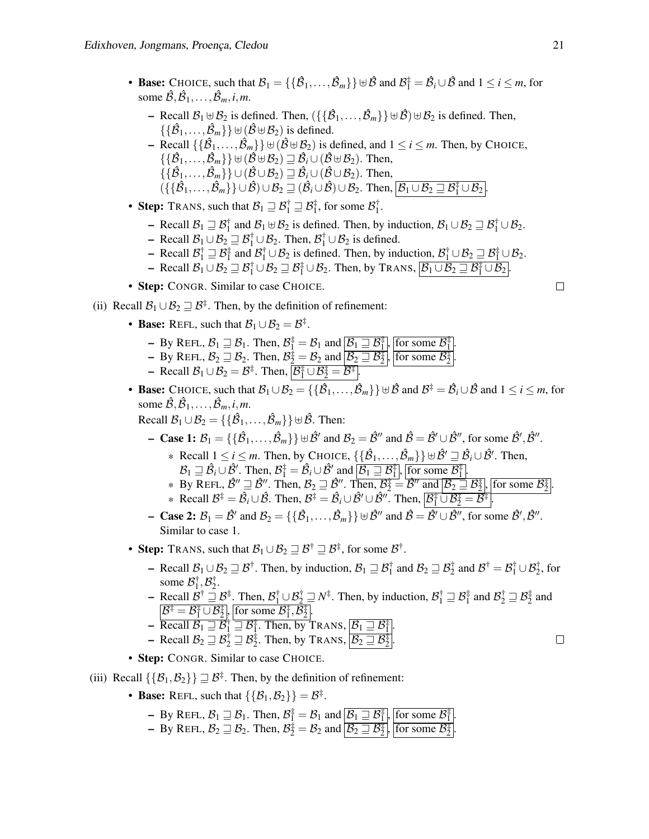- Base: CHOICE, such that  $\mathcal{B}_1 = \{ \{\hat{\mathcal{B}}_1, \ldots, \hat{\mathcal{B}}_m\} \} \cup \hat{\mathcal{B}}$  and  $\mathcal{B}_1^{\pm} = \hat{\mathcal{B}}_i \cup \hat{\mathcal{B}}$  and  $1 \le i \le m$ , for some  $\hat{\mathcal{B}}, \hat{\mathcal{B}}_1, \dots, \hat{\mathcal{B}}_m, i, m$ .
	- Recall  $\mathcal{B}_1 \uplus \mathcal{B}_2$  is defined. Then,  $(\{\{\hat{\mathcal{B}}_1,\ldots,\hat{\mathcal{B}}_m\}\}\uplus \hat{\mathcal{B}}) \uplus \mathcal{B}_2$  is defined. Then,  $\{\{\hat{\mathcal{B}}_1,\ldots,\hat{\mathcal{B}}_m\}\}\biguplus (\hat{\mathcal{B}}\uplus \mathcal{B}_2)$  is defined.

 $-$  Recall  $\{\{\hat{\mathcal{B}}_1,\ldots,\hat{\mathcal{B}}_m\}\}\uplus (\hat{\mathcal{B}} \uplus \mathcal{B}_2)$  is defined, and  $1 \le i \le m$ . Then, by CHOICE,  $\{ \{\hat{\mathcal{B}}_1,\ldots,\hat{\mathcal{B}}_m\} \} \uplus (\hat{\mathcal{B}} \uplus \mathcal{B}_2) \sqsupseteq \hat{\mathcal{B}}_i \cup (\hat{\mathcal{B}} \uplus \mathcal{B}_2)$ . Then,  $\{ \{\hat{\mathcal{B}}_1,\ldots,\hat{\mathcal{B}}_m\} \} \cup (\hat{\mathcal{B}} \cup \mathcal{B}_2) \sqsupseteq \hat{\mathcal{B}}_i \cup (\hat{\mathcal{B}} \cup \mathcal{B}_2)$ . Then,  $(\{\{\hat{\mathcal{B}}_1,\ldots,\hat{\mathcal{B}}_m\}\}\cup \hat{\mathcal{B}})\cup \mathcal{B}_2 \sqsupseteq (\hat{\mathcal{B}}_i\cup \hat{\mathcal{B}})\cup \mathcal{B}_2$ . Then,  $\boxed{\mathcal{B}_1\cup \mathcal{B}_2 \sqsupseteq \mathcal{B}_1^{\ddagger}\cup \mathcal{B}_2}$ .

- Step: TRANS, such that  $\mathcal{B}_1 \sqsupseteq \mathcal{B}_1^{\dagger} \sqsupseteq \mathcal{B}_1^{\dagger}$ , for some  $\mathcal{B}_1^{\dagger}$ .
	- Recall  $\mathcal{B}_1 \sqsupseteq \mathcal{B}_1^{\dagger}$  and  $\mathcal{B}_1 \uplus \mathcal{B}_2$  is defined. Then, by induction,  $\mathcal{B}_1 \cup \mathcal{B}_2 \sqsupseteq \mathcal{B}_1^{\dagger} \cup \mathcal{B}_2$ .
	- Recall  $\mathcal{B}_1 \cup \mathcal{B}_2 \sqsupseteq \mathcal{B}_1^{\dagger} \cup \mathcal{B}_2$ . Then,  $\mathcal{B}_1^{\dagger} \cup \mathcal{B}_2$  is defined.
	- Recall  $\mathcal{B}_1^{\dagger} \sqsupseteq \mathcal{B}_1^{\dagger}$  and  $\mathcal{B}_1^{\dagger} \cup \mathcal{B}_2$  is defined. Then, by induction,  $\mathcal{B}_1^{\dagger} \cup \mathcal{B}_2 \sqsupseteq \mathcal{B}_1^{\dagger} \cup \mathcal{B}_2$ .
	- $\vdash$  Recall  $\mathcal{B}_1 \cup \mathcal{B}_2 \sqsupseteq \mathcal{B}_1^{\ddagger} \cup \mathcal{B}_2 \sqsupseteq \mathcal{B}_1^{\ddagger} \cup \mathcal{B}_2$ . Then, by TRANS,  $\boxed{\mathcal{B}_1 \cup \mathcal{B}_2 \sqsupseteq \mathcal{B}_1^{\ddagger} \cup \mathcal{B}_2}$ .
- Step: CONGR. Similar to case CHOICE.
- (ii) Recall  $\mathcal{B}_1 \cup \mathcal{B}_2 \sqsupseteq \mathcal{B}^{\ddagger}$ . Then, by the definition of refinement:
	- Base: REFL, such that  $B_1 \cup B_2 = B^{\ddagger}$ .
		- $-$  By REFL,  $\mathcal{B}_1 \sqsupseteq \mathcal{B}_1$ . Then,  $\mathcal{B}_1^{\ddagger} = \mathcal{B}_1$  and  $\boxed{\mathcal{B}_1 \sqsupseteq \mathcal{B}_1^{\ddagger}}$ , for some  $\mathcal{B}_1^{\ddagger}$
		- By REFL,  $B_2 \sqsupseteq B_2$ . Then,  $B_2^{\pm} = B_2$  and  $\boxed{B_2 \sqsupseteq B_2^{\pm}}$ , for some  $B_2^{\pm}$
		- Recall  $\mathcal{B}_1 \cup \mathcal{B}_2 = \mathcal{B}^{\ddagger}$ . Then,  $\boxed{\mathcal{B}_1^{\ddagger} \cup \mathcal{B}_2^{\ddagger} = \mathcal{B}^{\ddagger}}$ .
	- Base: CHOICE, such that  $\mathcal{B}_1 \cup \mathcal{B}_2 = \{\{\hat{\mathcal{B}}_1,\ldots,\hat{\mathcal{B}}_m\}\}\,\forall\,\hat{\mathcal{B}}\,$  and  $\mathcal{B}^\ddagger = \hat{\mathcal{B}}_i \cup \hat{\mathcal{B}}$  and  $1 \leq i \leq m$ , for some  $\hat{\mathcal{B}}, \hat{\mathcal{B}}_1, \dots, \hat{\mathcal{B}}_m, i, m$ .

.

.

Recall  $\mathcal{B}_1 \cup \mathcal{B}_2 = \{ \{ \hat{\mathcal{B}}_1, \ldots, \hat{\mathcal{B}}_m \} \} \uplus \hat{\mathcal{B}}$ . Then:

- **Case 1:**  $\mathcal{B}_1 = \{ \{\hat{\mathcal{B}}_1, \ldots, \hat{\mathcal{B}}_m\} \} \uplus \hat{\mathcal{B}}'$  and  $\mathcal{B}_2 = \hat{\mathcal{B}}''$  and  $\hat{\mathcal{B}} = \hat{\mathcal{B}}' \cup \hat{\mathcal{B}}''$ , for some  $\hat{\mathcal{B}}', \hat{\mathcal{B}}''$ .
	- \* Recall  $1 \le i \le m$ . Then, by CHOICE,  $\{\{\hat{\beta}_1,\ldots,\hat{\beta}_m\}\}\cup \hat{\beta}' \sqsupseteq \hat{\beta}_i \cup \hat{\beta}'$ . Then,  $\mathcal{B}_1 \sqsupseteq \hat{\mathcal{B}}_i \cup \hat{\mathcal{B}}'_i$ . Then,  $\mathcal{B}_1^{\ddagger} = \hat{\mathcal{B}}_i \cup \hat{\mathcal{B}}'_i$  and  $\boxed{\mathcal{B}_1 \sqsupseteq \mathcal{B}_1^{\ddagger}}$ , for some  $\mathcal{B}_1^{\ddagger}$ .
	- \* By REFL,  $\hat{\mathcal{B}}'' \equiv \hat{\mathcal{B}}''$ . Then,  $\mathcal{B}_2 \sqsupseteq \hat{\mathcal{B}}''$ . Then,  $\overline{\mathcal{B}_2^{\pm}} = \overline{\hat{\mathcal{B}}''}$  and  $\overline{\mathcal{B}_2 \sqsupseteq \hat{\mathcal{B}}_2^{\pm}}$  for some  $\overline{\mathcal{B}_2^{\pm}}$ . \* Recall  $\mathcal{B}^{\ddagger} = \hat{\mathcal{B}}_i \cup \hat{\mathcal{B}}$ . Then,  $\mathcal{B}^{\ddagger} = \hat{\mathcal{B}}_i \cup \hat{\mathcal{B}}' \cup \hat{\mathcal{B}}''$ . Then,  $\boxed{\mathcal{B}^{\ddagger}_1 \cup \mathcal{B}^{\ddagger}_2 = \mathcal{B}^{\ddagger}}$ .
- **−** Case 2:  $\mathcal{B}_1 = \hat{\mathcal{B}}'$  and  $\mathcal{B}_2 = \{\{\hat{\mathcal{B}}_1, \ldots, \hat{\mathcal{B}}_m\}\}\,\forall\,\hat{\mathcal{B}}''$  and  $\hat{\mathcal{B}} = \hat{\mathcal{B}}' \cup \hat{\mathcal{B}}''$ , for some  $\hat{\mathcal{B}}', \hat{\mathcal{B}}''$ . Similar to case 1.
- Step: TRANS, such that  $\mathcal{B}_1 \cup \mathcal{B}_2 \sqsupseteq \mathcal{B}^{\dagger} \sqsupseteq \mathcal{B}^{\dagger}$ , for some  $\mathcal{B}^{\dagger}$ .
	- Recall  $\mathcal{B}_1 \cup \mathcal{B}_2 \sqsupseteq \mathcal{B}^{\dagger}$ . Then, by induction,  $\mathcal{B}_1 \sqsupseteq \mathcal{B}_1^{\dagger}$  and  $\mathcal{B}_2 \sqsupseteq \mathcal{B}_2^{\dagger}$  and  $\mathcal{B}^{\dagger} = \mathcal{B}_1^{\dagger} \cup \mathcal{B}_2^{\dagger}$ , for some  $\mathcal{B}_1^{\dagger}, \mathcal{B}_2^{\dagger}$ .
	- $\vdash$  Recall  $\mathcal{B}^{\dagger} \sqsupseteq \mathcal{B}^{\dagger}$ . Then,  $\mathcal{B}_1^{\dagger} \cup \mathcal{B}_2^{\dagger} \sqsupseteq \mathcal{N}^{\dagger}$ . Then, by induction,  $\mathcal{B}_1^{\dagger} \sqsupseteq \mathcal{B}_1^{\dagger}$  and  $\mathcal{B}_2^{\dagger} \sqsupseteq \mathcal{B}_2^{\dagger}$  and  $\mathcal{B}^{\ddagger} = \mathcal{B}^{\ddagger}_{1} \cup \mathcal{B}^{\ddagger}_{2}$ , for some  $\mathcal{B}^{\ddagger}_{1}, \mathcal{B}^{\ddagger}_{2}$ .
	- $-$  Recall  $\mathcal{B}_1 \sqsupseteq \mathcal{B}_1^{\dagger} \sqsupseteq \mathcal{B}_1^{\dagger}$ . Then, by TRANS,  $\lbrack \mathcal{B}_1 \sqsupseteq \mathcal{B}_1^{\dagger} \rbrack$ .
	- Recall  $\mathcal{B}_2 \sqsupseteq \mathcal{B}_2^{\dagger} \sqsupseteq \mathcal{B}_2^{\dagger}$ . Then, by TRANS,  $\boxed{\mathcal{B}_2 \sqsupseteq \mathcal{B}_2^{\dagger}}$ .
- Step: CONGR. Similar to case CHOICE.
- (iii) Recall  $\{\{\mathcal{B}_1,\mathcal{B}_2\}\}\sqsupseteq \mathcal{B}^{\ddagger}$ . Then, by the definition of refinement:
	- Base: REFL, such that  $\{\{\mathcal{B}_1, \mathcal{B}_2\}\} = \mathcal{B}^{\ddagger}$ .

- By REFL, 
$$
\mathcal{B}_1 \sqsupseteq \mathcal{B}_1
$$
. Then,  $\mathcal{B}_1^{\ddagger} = \mathcal{B}_1$  and  $\boxed{\mathcal{B}_1 \sqsupseteq \mathcal{B}_1^{\ddagger}}$ , for some  $\mathcal{B}_1^{\ddagger}$ .

- By REFL,  $B_1 \equiv B_1$ . Then,  $B_1^{\pm} = B_1$  and  $B_1 \equiv B_1$ ,  $B_2 \equiv B_2^{\pm}$ ,  $\frac{1}{1}$  for some  $B_2^{\pm}$ .

 $\Box$ 

 $\Box$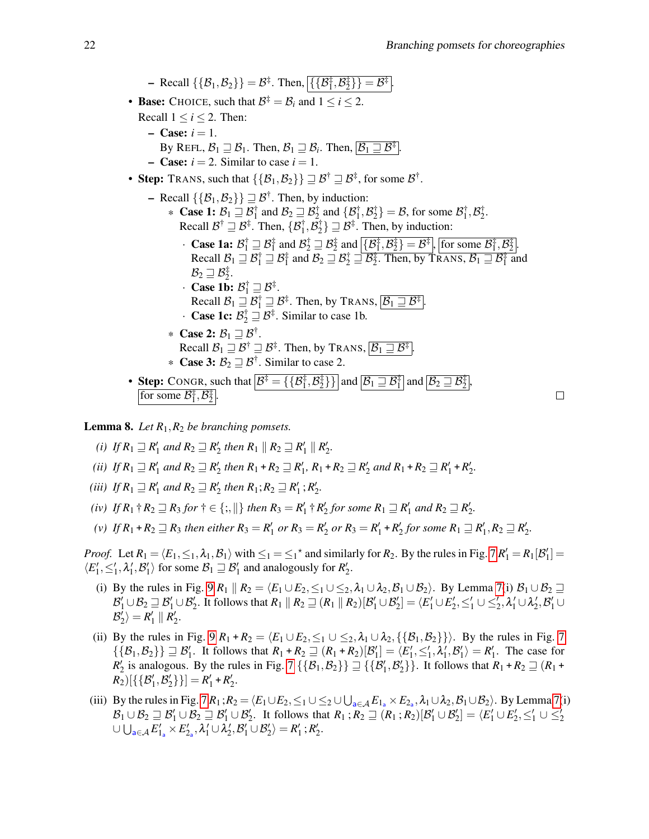$\Box$ 

 $-$  Recall  $\{\{\mathcal{B}_1, \mathcal{B}_2\}\} = \mathcal{B}^{\ddagger}$ . Then,  $\{\{\mathcal{B}_1^{\ddagger}, \mathcal{B}_2^{\ddagger}\}\} = \mathcal{B}^{\ddagger}$ . • **Base:** CHOICE, such that  $\mathcal{B}^{\ddagger} = \mathcal{B}_i$  and  $1 \le i \le 2$ . Recall  $1 \le i \le 2$ . Then:  $-$  Case:  $i = 1$ . By REFL,  $\mathcal{B}_1 \sqsupseteq \mathcal{B}_1$ . Then,  $\mathcal{B}_1 \sqsupseteq \mathcal{B}_i$ . Then,  $\overline{\mathcal{B}_1 \sqsupseteq \mathcal{B}^{\ddagger}}$ .  $-$  **Case:**  $i = 2$ . Similar to case  $i = 1$ . • Step: TRANS, such that  $\{\{\mathcal{B}_1,\mathcal{B}_2\}\}\sqsupseteq\mathcal{B}^\dagger\sqsupseteq\mathcal{B}^\ddagger$ , for some  $\mathcal{B}^\dagger$ .  $-$  Recall  $\{\{\mathcal{B}_1,\mathcal{B}_2\}\}\sqsupseteq \mathcal{B}^{\dagger}$ . Then, by induction: **★ Case 1:**  $\mathcal{B}_1 \sqsupseteq \mathcal{B}_1^{\dagger}$  and  $\mathcal{B}_2 \sqsupseteq \mathcal{B}_2^{\dagger}$  and  $\{\mathcal{B}_1^{\dagger}, \mathcal{B}_2^{\dagger}\} = \mathcal{B}$ , for some  $\mathcal{B}_1^{\dagger}, \mathcal{B}_2^{\dagger}$ . Recall  $\mathcal{B}^{\dagger} \sqsupseteq \mathcal{B}^{\ddagger}$ . Then,  $\{\mathcal{B}^{\dagger}_1, \mathcal{B}^{\dagger}_2\} \sqsupseteq \mathcal{B}^{\ddagger}$ . Then, by induction: **• Case 1a:**  $\mathcal{B}_1^{\dagger} \sqsupseteq \mathcal{B}_1^{\dagger}$  and  $\mathcal{B}_2^{\dagger} \sqsupseteq \mathcal{B}_2^{\dagger}$  and  $\left[ \{\mathcal{B}_1^{\dagger}, \mathcal{B}_2^{\dagger} \} = \mathcal{B}^{\dagger} \right]$ , [for some  $\mathcal{B}_1^{\dagger}, \mathcal{B}_2^{\dagger}$ ]. Recall  $\mathcal{B}_1 \sqsupseteq \mathcal{B}_1^{\dagger} \sqsupseteq \mathcal{B}_1^{\dagger}$  and  $\mathcal{B}_2 \sqsupseteq \mathcal{B}_2^{\dagger} \sqsupseteq \mathcal{B}_2^{\dagger}$ . Then, by TRANS,  $\mathcal{B}_1 \sqsupseteq \mathcal{B}_1^{\dagger}$  and  $\mathcal{B}_2 \sqsupseteq \mathcal{B}_2^{\ddagger}.$ • Case 1b:  $\mathcal{B}_1^{\dagger} \sqsupseteq \mathcal{B}^{\ddagger}$ . Recall  $\mathcal{B}_1 \sqsupseteq \mathcal{B}_1^{\dagger} \sqsupseteq \mathcal{B}^{\ddagger}$ . Then, by TRANS,  $\boxed{\mathcal{B}_1 \sqsupseteq \mathcal{B}^{\ddagger}}$ . • **Case 1c:**  $\mathcal{B}_2^{\dagger} \sqsupseteq \mathcal{B}^{\ddagger}$ . Similar to case 1b. \* Case 2:  $B_1 \sqsupseteq B^{\dagger}$ . Recall  $\mathcal{B}_1 \sqsupseteq \mathcal{B}^{\ddagger} \sqsupseteq \mathcal{B}^{\ddagger}$ . Then, by TRANS,  $\boxed{\mathcal{B}_1 \sqsupseteq \mathcal{B}^{\ddagger}}$ . **\*** Case 3:  $\mathcal{B}_2 \sqsupseteq \mathcal{B}^{\dagger}$ . Similar to case 2. • Step: CONGR, such that  $\mathcal{B}^{\ddagger} = {\{\{\mathcal{B}^{\ddagger}_1, \mathcal{B}^{\ddagger}_2\}\}\}\$  and  $\overline{[\mathcal{B}_1 \sqsupseteq \mathcal{B}_1^{\ddagger}]}$  and  $\overline{[\mathcal{B}_2 \sqsupseteq \mathcal{B}_2^{\ddagger}]}$ ,

for some  $\mathcal{B}_{1}^{\ddagger}, \mathcal{B}_{2}^{\ddagger}$ .

<span id="page-21-0"></span>**Lemma 8.** Let  $R_1, R_2$  be branching pomsets.

- *(i) If*  $R_1 \sqsupseteq R'_1$  *and*  $R_2 \sqsupseteq R'_2$  *then*  $R_1 \parallel R_2 \sqsupseteq R'_1 \parallel R'_2$ *.*
- (*ii*) *If*  $R_1 \sqsupseteq R'_1$  and  $R_2 \sqsupseteq R'_2$  then  $R_1 + R_2 \sqsupseteq R'_1$ ,  $R_1 + R_2 \sqsupseteq R'_2$  and  $R_1 + R_2 \sqsupseteq R'_1 + R'_2$ .
- *(iii) If*  $R_1 \sqsupseteq R'_1$  *and*  $R_2 \sqsupseteq R'_2$  *then*  $R_1$ ;  $R_2 \sqsupseteq R'_1$ ;  $R'_2$ .
- *(iv) If*  $R_1$   $\dagger$   $R_2 \sqsupseteq R_3$  *for*  $\dagger \in \{\,;\,\}\}$  *then*  $R_3 = R'_1 \dagger R'_2$  *for some*  $R_1 \sqsupseteq R'_1$  *and*  $R_2 \sqsupseteq R'_2$ *.*
- $F(v)$  *If*  $R_1 + R_2 \sqsupseteq R_3$  *then either*  $R_3 = R'_1$  *or*  $R_3 = R'_2$  *or*  $R_3 = R'_1 + R'_2$  *for some*  $R_1 \sqsupseteq R'_1$ ,  $R_2 \sqsupseteq R'_2$ .

*Proof.* Let  $R_1 = \langle E_1, \leq_1, \lambda_1, B_1 \rangle$  with  $\leq_1 = \leq_1^*$  and similarly for  $R_2$ . By the rules in Fig. [7](#page-8-0)  $R'_1 = R_1[\mathcal{B}'_1] =$  $\langle E'_1, \leq'_1, \lambda'_1, \mathcal{B}'_1 \rangle$  for some  $\mathcal{B}_1 \sqsupseteq \mathcal{B}'_1$  and analogously for  $\mathcal{R}'_2$ .

- (i) By the rules in Fig. [9](#page-10-0)  $R_1 \parallel R_2 = \langle E_1 \cup E_2, \leq_1 \cup \leq_2, \lambda_1 \cup \lambda_2, \beta_1 \cup \beta_2 \rangle$ . By Lemma [7\(](#page-19-0)i)  $\beta_1 \cup \beta_2 \supseteq \emptyset$  $\mathcal{B}'_1 \cup \mathcal{B}_2 \sqsupseteq \mathcal{B}'_1 \cup \mathcal{B}'_2$ . It follows that  $R_1 \parallel R_2 \sqsupseteq (R_1 \parallel R_2) [\mathcal{B}'_1 \cup \mathcal{B}'_2] = \langle E'_1 \cup E'_2, \leq'_1 \cup \leq'_2, \lambda'_1 \cup \lambda'_2, \mathcal{B}'_1 \cup \lambda'_2]$  $\mathcal{B}'_2$   $\rangle = R'_1 \parallel R'_2.$
- (ii) By the rules in Fig. [9](#page-10-0)  $R_1 + R_2 = \langle E_1 \cup E_2, \le_1 \cup \le_2, \lambda_1 \cup \lambda_2, \{\{\beta_1, \beta_2\}\}\rangle$ . By the rules in Fig. [7](#page-8-0)  $\{\{\mathcal{B}_1,\mathcal{B}_2\}\}\sqsupseteq \mathcal{B}'_1$ . It follows that  $R_1 + R_2 \sqsupseteq (R_1 + R_2)[\mathcal{B}'_1] = \langle E'_1, \leq'_1, \lambda'_1, \mathcal{B}'_1 \rangle = R'_1$ . The case for  $R'_2$  is analogous. By the rules in Fig. [7](#page-8-0)  $\{\{\mathcal{B}_1, \mathcal{B}_2\}\}\sqsupseteq \{\{\mathcal{B}'_1, \mathcal{B}'_2\}\}\.$  It follows that  $R_1 + R_2 \sqsupseteq (R_1 + R_2)$  $R_2$ [{ ${B'_1, B'_2}$ }] =  $R'_1$  +  $R'_2$ .
- (iii) By the rules in Fig.  $7 R_1$ ;  $R_2 = \langle E_1 \cup E_2, \leq_1 \cup \leq_2 \cup \bigcup_{a \in A} E_{1_a} \times E_{2_a}, \lambda_1 \cup \lambda_2, \mathcal{B}_1 \cup \mathcal{B}_2 \rangle$ . By Lemma [7](#page-8-0)(i)  $\mathcal{B}_1 \cup \mathcal{B}_2 \sqsupseteq \mathcal{B}'_1 \cup \mathcal{B}_2 \sqsupseteq \mathcal{B}'_1 \cup \mathcal{B}'_2$ . It follows that  $R_1$ ;  $R_2 \sqsupseteq (R_1$ ;  $R_2)[\mathcal{B}'_1 \cup \mathcal{B}'_2] = \langle E'_1 \cup E'_2, \leq'_1 \cup \leq'_2 \rangle$  $\cup \bigcup_{a \in \mathcal{A}} E'_{1_a} \times E'_{2_a}, \lambda'_1 \cup \lambda'_2, \mathcal{B}'_1 \cup \mathcal{B}'_2 \rangle = R'_1$ ;  $R'_2$ .